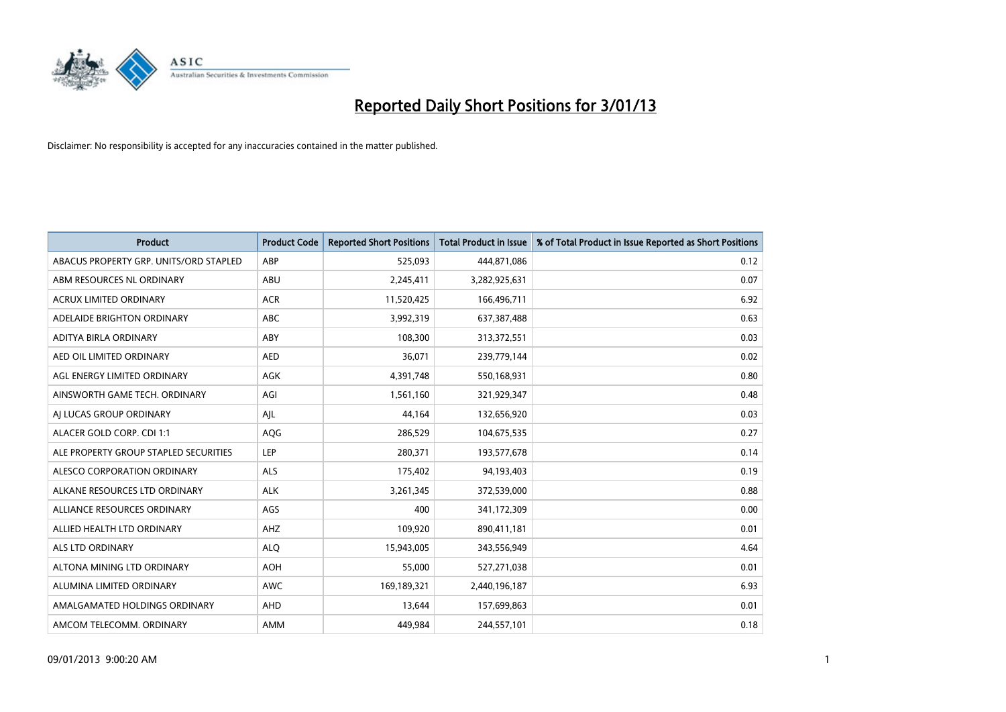

| <b>Product</b>                         | <b>Product Code</b> | <b>Reported Short Positions</b> | <b>Total Product in Issue</b> | % of Total Product in Issue Reported as Short Positions |
|----------------------------------------|---------------------|---------------------------------|-------------------------------|---------------------------------------------------------|
| ABACUS PROPERTY GRP. UNITS/ORD STAPLED | ABP                 | 525,093                         | 444,871,086                   | 0.12                                                    |
| ABM RESOURCES NL ORDINARY              | <b>ABU</b>          | 2,245,411                       | 3,282,925,631                 | 0.07                                                    |
| ACRUX LIMITED ORDINARY                 | <b>ACR</b>          | 11,520,425                      | 166,496,711                   | 6.92                                                    |
| ADELAIDE BRIGHTON ORDINARY             | <b>ABC</b>          | 3,992,319                       | 637,387,488                   | 0.63                                                    |
| ADITYA BIRLA ORDINARY                  | ABY                 | 108,300                         | 313,372,551                   | 0.03                                                    |
| AED OIL LIMITED ORDINARY               | <b>AED</b>          | 36,071                          | 239,779,144                   | 0.02                                                    |
| AGL ENERGY LIMITED ORDINARY            | AGK                 | 4,391,748                       | 550,168,931                   | 0.80                                                    |
| AINSWORTH GAME TECH. ORDINARY          | AGI                 | 1,561,160                       | 321,929,347                   | 0.48                                                    |
| AI LUCAS GROUP ORDINARY                | AJL                 | 44,164                          | 132,656,920                   | 0.03                                                    |
| ALACER GOLD CORP. CDI 1:1              | <b>AQG</b>          | 286,529                         | 104,675,535                   | 0.27                                                    |
| ALE PROPERTY GROUP STAPLED SECURITIES  | LEP                 | 280,371                         | 193,577,678                   | 0.14                                                    |
| ALESCO CORPORATION ORDINARY            | <b>ALS</b>          | 175,402                         | 94,193,403                    | 0.19                                                    |
| ALKANE RESOURCES LTD ORDINARY          | <b>ALK</b>          | 3,261,345                       | 372,539,000                   | 0.88                                                    |
| ALLIANCE RESOURCES ORDINARY            | AGS                 | 400                             | 341,172,309                   | 0.00                                                    |
| ALLIED HEALTH LTD ORDINARY             | AHZ                 | 109,920                         | 890,411,181                   | 0.01                                                    |
| ALS LTD ORDINARY                       | <b>ALQ</b>          | 15,943,005                      | 343,556,949                   | 4.64                                                    |
| ALTONA MINING LTD ORDINARY             | <b>AOH</b>          | 55,000                          | 527,271,038                   | 0.01                                                    |
| ALUMINA LIMITED ORDINARY               | <b>AWC</b>          | 169,189,321                     | 2,440,196,187                 | 6.93                                                    |
| AMALGAMATED HOLDINGS ORDINARY          | <b>AHD</b>          | 13,644                          | 157,699,863                   | 0.01                                                    |
| AMCOM TELECOMM. ORDINARY               | <b>AMM</b>          | 449,984                         | 244,557,101                   | 0.18                                                    |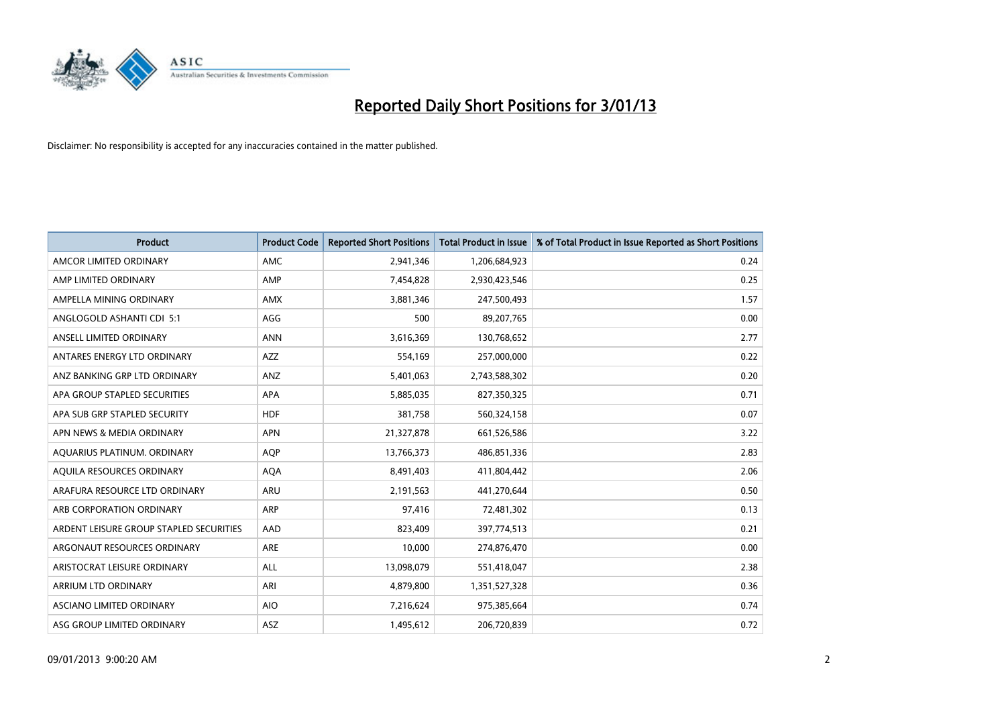

| <b>Product</b>                          | <b>Product Code</b> | <b>Reported Short Positions</b> | <b>Total Product in Issue</b> | % of Total Product in Issue Reported as Short Positions |
|-----------------------------------------|---------------------|---------------------------------|-------------------------------|---------------------------------------------------------|
| AMCOR LIMITED ORDINARY                  | <b>AMC</b>          | 2,941,346                       | 1,206,684,923                 | 0.24                                                    |
| AMP LIMITED ORDINARY                    | AMP                 | 7,454,828                       | 2,930,423,546                 | 0.25                                                    |
| AMPELLA MINING ORDINARY                 | <b>AMX</b>          | 3,881,346                       | 247,500,493                   | 1.57                                                    |
| ANGLOGOLD ASHANTI CDI 5:1               | AGG                 | 500                             | 89,207,765                    | 0.00                                                    |
| ANSELL LIMITED ORDINARY                 | <b>ANN</b>          | 3,616,369                       | 130,768,652                   | 2.77                                                    |
| ANTARES ENERGY LTD ORDINARY             | <b>AZZ</b>          | 554,169                         | 257,000,000                   | 0.22                                                    |
| ANZ BANKING GRP LTD ORDINARY            | ANZ                 | 5,401,063                       | 2,743,588,302                 | 0.20                                                    |
| APA GROUP STAPLED SECURITIES            | <b>APA</b>          | 5,885,035                       | 827,350,325                   | 0.71                                                    |
| APA SUB GRP STAPLED SECURITY            | <b>HDF</b>          | 381,758                         | 560,324,158                   | 0.07                                                    |
| APN NEWS & MEDIA ORDINARY               | <b>APN</b>          | 21,327,878                      | 661,526,586                   | 3.22                                                    |
| AQUARIUS PLATINUM. ORDINARY             | <b>AOP</b>          | 13,766,373                      | 486,851,336                   | 2.83                                                    |
| AQUILA RESOURCES ORDINARY               | <b>AQA</b>          | 8,491,403                       | 411,804,442                   | 2.06                                                    |
| ARAFURA RESOURCE LTD ORDINARY           | <b>ARU</b>          | 2,191,563                       | 441,270,644                   | 0.50                                                    |
| ARB CORPORATION ORDINARY                | <b>ARP</b>          | 97,416                          | 72,481,302                    | 0.13                                                    |
| ARDENT LEISURE GROUP STAPLED SECURITIES | AAD                 | 823,409                         | 397,774,513                   | 0.21                                                    |
| ARGONAUT RESOURCES ORDINARY             | <b>ARE</b>          | 10,000                          | 274,876,470                   | 0.00                                                    |
| ARISTOCRAT LEISURE ORDINARY             | <b>ALL</b>          | 13,098,079                      | 551,418,047                   | 2.38                                                    |
| ARRIUM LTD ORDINARY                     | ARI                 | 4,879,800                       | 1,351,527,328                 | 0.36                                                    |
| ASCIANO LIMITED ORDINARY                | <b>AIO</b>          | 7,216,624                       | 975,385,664                   | 0.74                                                    |
| ASG GROUP LIMITED ORDINARY              | <b>ASZ</b>          | 1,495,612                       | 206,720,839                   | 0.72                                                    |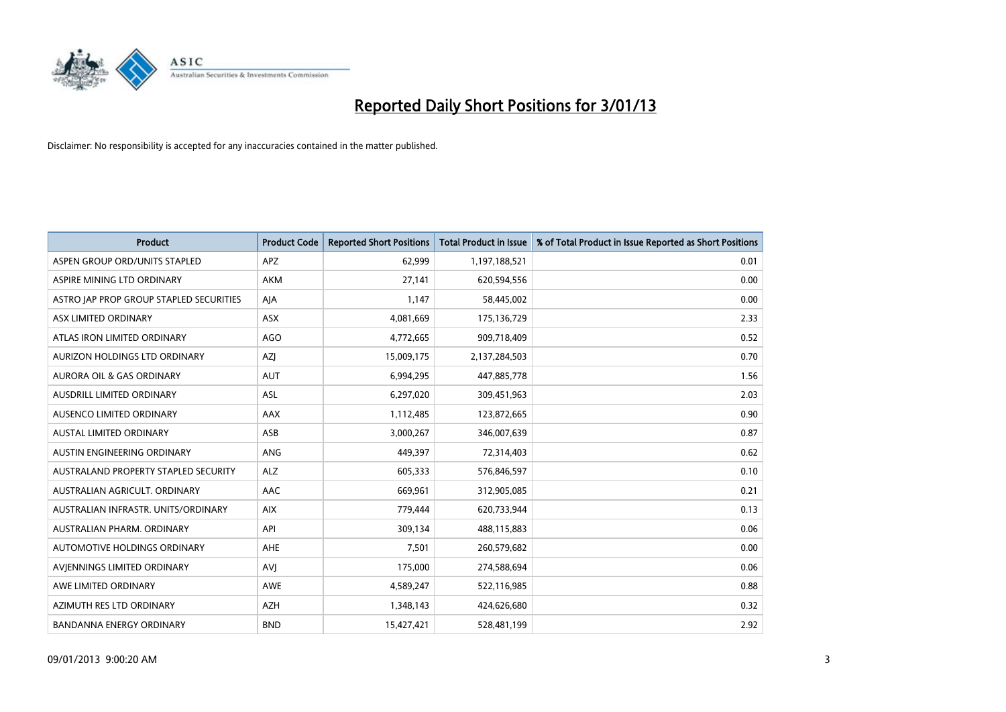

| <b>Product</b>                              | <b>Product Code</b> | <b>Reported Short Positions</b> | <b>Total Product in Issue</b> | % of Total Product in Issue Reported as Short Positions |
|---------------------------------------------|---------------------|---------------------------------|-------------------------------|---------------------------------------------------------|
| ASPEN GROUP ORD/UNITS STAPLED               | <b>APZ</b>          | 62,999                          | 1,197,188,521                 | 0.01                                                    |
| ASPIRE MINING LTD ORDINARY                  | <b>AKM</b>          | 27,141                          | 620,594,556                   | 0.00                                                    |
| ASTRO JAP PROP GROUP STAPLED SECURITIES     | AJA                 | 1,147                           | 58,445,002                    | 0.00                                                    |
| ASX LIMITED ORDINARY                        | ASX                 | 4,081,669                       | 175,136,729                   | 2.33                                                    |
| ATLAS IRON LIMITED ORDINARY                 | AGO                 | 4,772,665                       | 909,718,409                   | 0.52                                                    |
| AURIZON HOLDINGS LTD ORDINARY               | <b>AZI</b>          | 15,009,175                      | 2,137,284,503                 | 0.70                                                    |
| AURORA OIL & GAS ORDINARY                   | <b>AUT</b>          | 6,994,295                       | 447,885,778                   | 1.56                                                    |
| AUSDRILL LIMITED ORDINARY                   | ASL                 | 6,297,020                       | 309,451,963                   | 2.03                                                    |
| AUSENCO LIMITED ORDINARY                    | AAX                 | 1,112,485                       | 123,872,665                   | 0.90                                                    |
| <b>AUSTAL LIMITED ORDINARY</b>              | ASB                 | 3,000,267                       | 346,007,639                   | 0.87                                                    |
| AUSTIN ENGINEERING ORDINARY                 | ANG                 | 449,397                         | 72,314,403                    | 0.62                                                    |
| <b>AUSTRALAND PROPERTY STAPLED SECURITY</b> | <b>ALZ</b>          | 605,333                         | 576,846,597                   | 0.10                                                    |
| AUSTRALIAN AGRICULT. ORDINARY               | AAC                 | 669,961                         | 312,905,085                   | 0.21                                                    |
| AUSTRALIAN INFRASTR. UNITS/ORDINARY         | <b>AIX</b>          | 779,444                         | 620,733,944                   | 0.13                                                    |
| AUSTRALIAN PHARM, ORDINARY                  | API                 | 309,134                         | 488,115,883                   | 0.06                                                    |
| AUTOMOTIVE HOLDINGS ORDINARY                | AHE                 | 7,501                           | 260,579,682                   | 0.00                                                    |
| AVIENNINGS LIMITED ORDINARY                 | AVI                 | 175,000                         | 274,588,694                   | 0.06                                                    |
| AWE LIMITED ORDINARY                        | <b>AWE</b>          | 4,589,247                       | 522,116,985                   | 0.88                                                    |
| AZIMUTH RES LTD ORDINARY                    | <b>AZH</b>          | 1,348,143                       | 424,626,680                   | 0.32                                                    |
| <b>BANDANNA ENERGY ORDINARY</b>             | <b>BND</b>          | 15,427,421                      | 528,481,199                   | 2.92                                                    |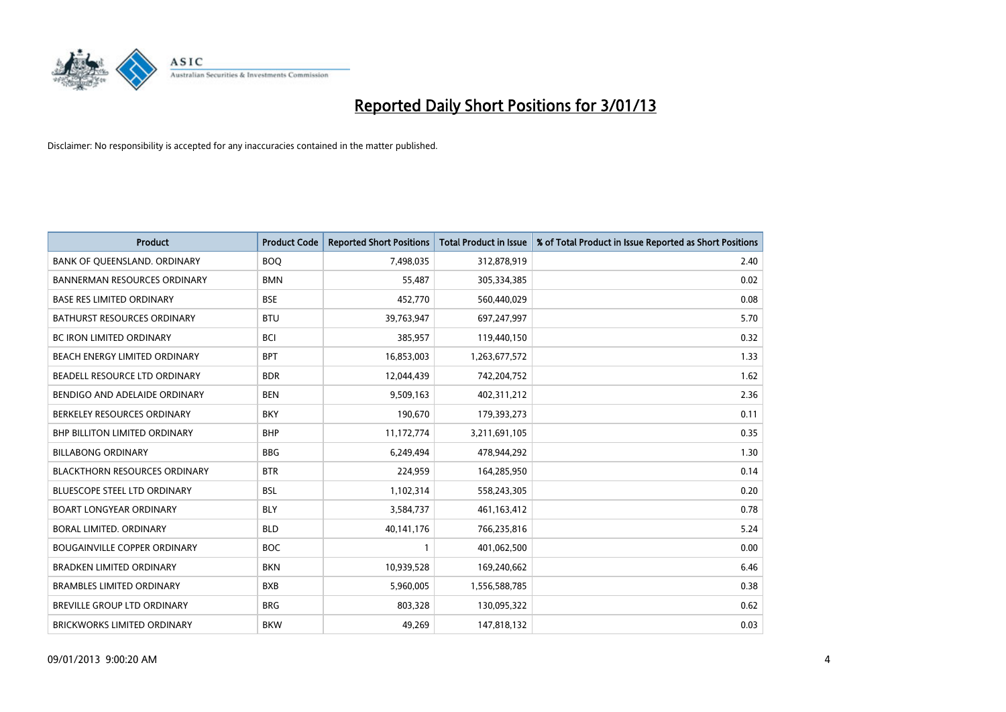

| <b>Product</b>                       | <b>Product Code</b> | <b>Reported Short Positions</b> | <b>Total Product in Issue</b> | % of Total Product in Issue Reported as Short Positions |
|--------------------------------------|---------------------|---------------------------------|-------------------------------|---------------------------------------------------------|
| BANK OF QUEENSLAND. ORDINARY         | <b>BOO</b>          | 7,498,035                       | 312,878,919                   | 2.40                                                    |
| <b>BANNERMAN RESOURCES ORDINARY</b>  | <b>BMN</b>          | 55,487                          | 305,334,385                   | 0.02                                                    |
| <b>BASE RES LIMITED ORDINARY</b>     | <b>BSE</b>          | 452,770                         | 560,440,029                   | 0.08                                                    |
| BATHURST RESOURCES ORDINARY          | <b>BTU</b>          | 39,763,947                      | 697,247,997                   | 5.70                                                    |
| <b>BC IRON LIMITED ORDINARY</b>      | <b>BCI</b>          | 385,957                         | 119,440,150                   | 0.32                                                    |
| BEACH ENERGY LIMITED ORDINARY        | <b>BPT</b>          | 16,853,003                      | 1,263,677,572                 | 1.33                                                    |
| BEADELL RESOURCE LTD ORDINARY        | <b>BDR</b>          | 12,044,439                      | 742,204,752                   | 1.62                                                    |
| BENDIGO AND ADELAIDE ORDINARY        | <b>BEN</b>          | 9,509,163                       | 402,311,212                   | 2.36                                                    |
| BERKELEY RESOURCES ORDINARY          | <b>BKY</b>          | 190,670                         | 179,393,273                   | 0.11                                                    |
| <b>BHP BILLITON LIMITED ORDINARY</b> | <b>BHP</b>          | 11,172,774                      | 3,211,691,105                 | 0.35                                                    |
| <b>BILLABONG ORDINARY</b>            | <b>BBG</b>          | 6,249,494                       | 478,944,292                   | 1.30                                                    |
| <b>BLACKTHORN RESOURCES ORDINARY</b> | <b>BTR</b>          | 224,959                         | 164,285,950                   | 0.14                                                    |
| <b>BLUESCOPE STEEL LTD ORDINARY</b>  | <b>BSL</b>          | 1,102,314                       | 558,243,305                   | 0.20                                                    |
| <b>BOART LONGYEAR ORDINARY</b>       | <b>BLY</b>          | 3,584,737                       | 461,163,412                   | 0.78                                                    |
| BORAL LIMITED, ORDINARY              | <b>BLD</b>          | 40,141,176                      | 766,235,816                   | 5.24                                                    |
| <b>BOUGAINVILLE COPPER ORDINARY</b>  | <b>BOC</b>          |                                 | 401,062,500                   | 0.00                                                    |
| <b>BRADKEN LIMITED ORDINARY</b>      | <b>BKN</b>          | 10,939,528                      | 169,240,662                   | 6.46                                                    |
| <b>BRAMBLES LIMITED ORDINARY</b>     | <b>BXB</b>          | 5,960,005                       | 1,556,588,785                 | 0.38                                                    |
| <b>BREVILLE GROUP LTD ORDINARY</b>   | <b>BRG</b>          | 803,328                         | 130,095,322                   | 0.62                                                    |
| BRICKWORKS LIMITED ORDINARY          | <b>BKW</b>          | 49,269                          | 147,818,132                   | 0.03                                                    |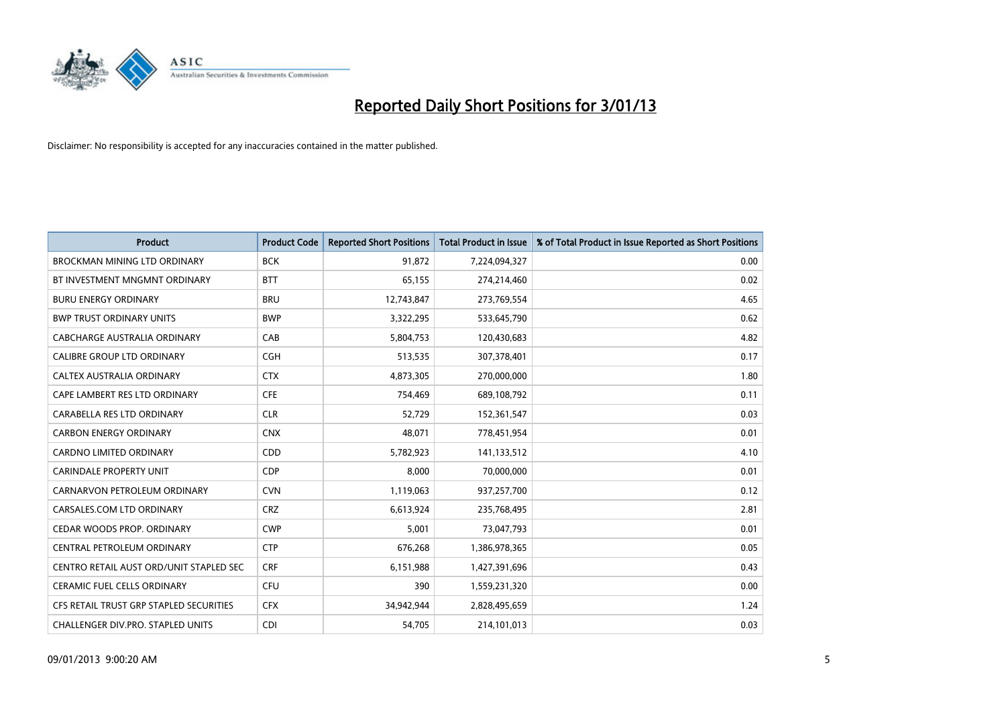

| <b>Product</b>                          | <b>Product Code</b> | <b>Reported Short Positions</b> | <b>Total Product in Issue</b> | % of Total Product in Issue Reported as Short Positions |
|-----------------------------------------|---------------------|---------------------------------|-------------------------------|---------------------------------------------------------|
| <b>BROCKMAN MINING LTD ORDINARY</b>     | <b>BCK</b>          | 91,872                          | 7,224,094,327                 | 0.00                                                    |
| BT INVESTMENT MNGMNT ORDINARY           | <b>BTT</b>          | 65,155                          | 274,214,460                   | 0.02                                                    |
| <b>BURU ENERGY ORDINARY</b>             | <b>BRU</b>          | 12,743,847                      | 273,769,554                   | 4.65                                                    |
| <b>BWP TRUST ORDINARY UNITS</b>         | <b>BWP</b>          | 3,322,295                       | 533,645,790                   | 0.62                                                    |
| CABCHARGE AUSTRALIA ORDINARY            | CAB                 | 5,804,753                       | 120,430,683                   | 4.82                                                    |
| <b>CALIBRE GROUP LTD ORDINARY</b>       | CGH                 | 513,535                         | 307,378,401                   | 0.17                                                    |
| CALTEX AUSTRALIA ORDINARY               | <b>CTX</b>          | 4,873,305                       | 270,000,000                   | 1.80                                                    |
| CAPE LAMBERT RES LTD ORDINARY           | <b>CFE</b>          | 754,469                         | 689,108,792                   | 0.11                                                    |
| CARABELLA RES LTD ORDINARY              | <b>CLR</b>          | 52,729                          | 152,361,547                   | 0.03                                                    |
| <b>CARBON ENERGY ORDINARY</b>           | <b>CNX</b>          | 48,071                          | 778,451,954                   | 0.01                                                    |
| CARDNO LIMITED ORDINARY                 | <b>CDD</b>          | 5,782,923                       | 141,133,512                   | 4.10                                                    |
| <b>CARINDALE PROPERTY UNIT</b>          | <b>CDP</b>          | 8,000                           | 70,000,000                    | 0.01                                                    |
| CARNARVON PETROLEUM ORDINARY            | <b>CVN</b>          | 1,119,063                       | 937,257,700                   | 0.12                                                    |
| CARSALES.COM LTD ORDINARY               | <b>CRZ</b>          | 6,613,924                       | 235,768,495                   | 2.81                                                    |
| CEDAR WOODS PROP. ORDINARY              | <b>CWP</b>          | 5,001                           | 73,047,793                    | 0.01                                                    |
| CENTRAL PETROLEUM ORDINARY              | <b>CTP</b>          | 676,268                         | 1,386,978,365                 | 0.05                                                    |
| CENTRO RETAIL AUST ORD/UNIT STAPLED SEC | <b>CRF</b>          | 6,151,988                       | 1,427,391,696                 | 0.43                                                    |
| <b>CERAMIC FUEL CELLS ORDINARY</b>      | CFU                 | 390                             | 1,559,231,320                 | 0.00                                                    |
| CFS RETAIL TRUST GRP STAPLED SECURITIES | <b>CFX</b>          | 34,942,944                      | 2,828,495,659                 | 1.24                                                    |
| CHALLENGER DIV.PRO. STAPLED UNITS       | <b>CDI</b>          | 54,705                          | 214,101,013                   | 0.03                                                    |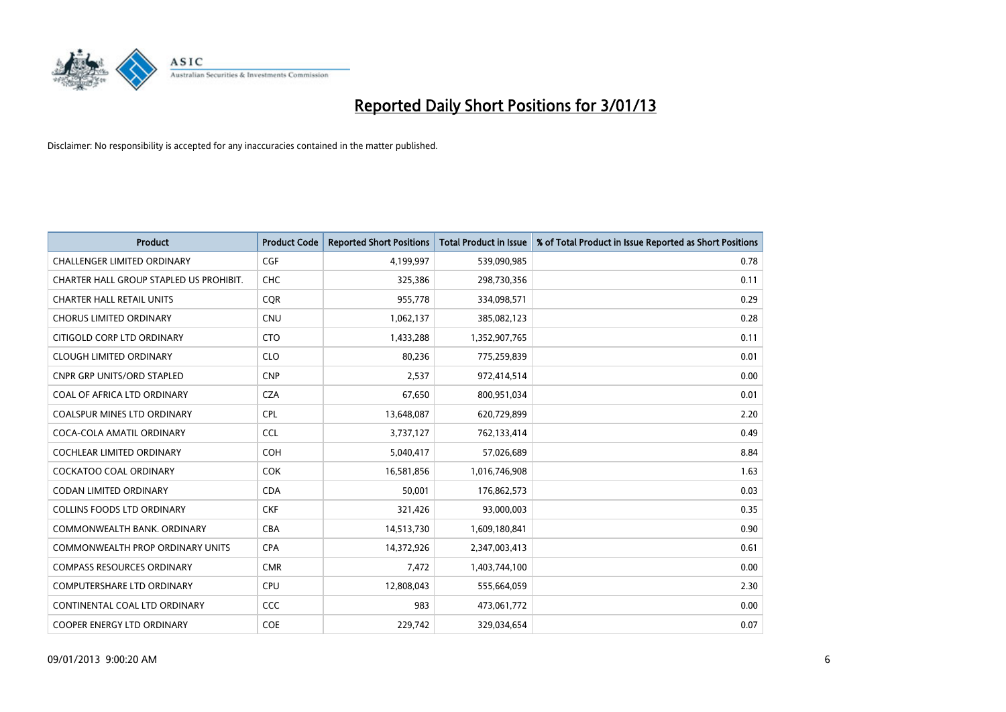

| <b>Product</b>                          | <b>Product Code</b> | <b>Reported Short Positions</b> | <b>Total Product in Issue</b> | % of Total Product in Issue Reported as Short Positions |
|-----------------------------------------|---------------------|---------------------------------|-------------------------------|---------------------------------------------------------|
| <b>CHALLENGER LIMITED ORDINARY</b>      | <b>CGF</b>          | 4,199,997                       | 539,090,985                   | 0.78                                                    |
| CHARTER HALL GROUP STAPLED US PROHIBIT. | <b>CHC</b>          | 325,386                         | 298,730,356                   | 0.11                                                    |
| <b>CHARTER HALL RETAIL UNITS</b>        | <b>COR</b>          | 955,778                         | 334,098,571                   | 0.29                                                    |
| <b>CHORUS LIMITED ORDINARY</b>          | <b>CNU</b>          | 1,062,137                       | 385,082,123                   | 0.28                                                    |
| CITIGOLD CORP LTD ORDINARY              | <b>CTO</b>          | 1,433,288                       | 1,352,907,765                 | 0.11                                                    |
| <b>CLOUGH LIMITED ORDINARY</b>          | <b>CLO</b>          | 80,236                          | 775,259,839                   | 0.01                                                    |
| <b>CNPR GRP UNITS/ORD STAPLED</b>       | <b>CNP</b>          | 2,537                           | 972,414,514                   | 0.00                                                    |
| COAL OF AFRICA LTD ORDINARY             | <b>CZA</b>          | 67,650                          | 800,951,034                   | 0.01                                                    |
| <b>COALSPUR MINES LTD ORDINARY</b>      | <b>CPL</b>          | 13,648,087                      | 620,729,899                   | 2.20                                                    |
| COCA-COLA AMATIL ORDINARY               | <b>CCL</b>          | 3,737,127                       | 762,133,414                   | 0.49                                                    |
| COCHLEAR LIMITED ORDINARY               | <b>COH</b>          | 5,040,417                       | 57,026,689                    | 8.84                                                    |
| COCKATOO COAL ORDINARY                  | <b>COK</b>          | 16,581,856                      | 1,016,746,908                 | 1.63                                                    |
| <b>CODAN LIMITED ORDINARY</b>           | <b>CDA</b>          | 50,001                          | 176,862,573                   | 0.03                                                    |
| <b>COLLINS FOODS LTD ORDINARY</b>       | <b>CKF</b>          | 321,426                         | 93,000,003                    | 0.35                                                    |
| COMMONWEALTH BANK, ORDINARY             | <b>CBA</b>          | 14,513,730                      | 1,609,180,841                 | 0.90                                                    |
| <b>COMMONWEALTH PROP ORDINARY UNITS</b> | <b>CPA</b>          | 14,372,926                      | 2,347,003,413                 | 0.61                                                    |
| <b>COMPASS RESOURCES ORDINARY</b>       | <b>CMR</b>          | 7,472                           | 1,403,744,100                 | 0.00                                                    |
| <b>COMPUTERSHARE LTD ORDINARY</b>       | <b>CPU</b>          | 12,808,043                      | 555,664,059                   | 2.30                                                    |
| CONTINENTAL COAL LTD ORDINARY           | <b>CCC</b>          | 983                             | 473,061,772                   | 0.00                                                    |
| COOPER ENERGY LTD ORDINARY              | <b>COE</b>          | 229,742                         | 329,034,654                   | 0.07                                                    |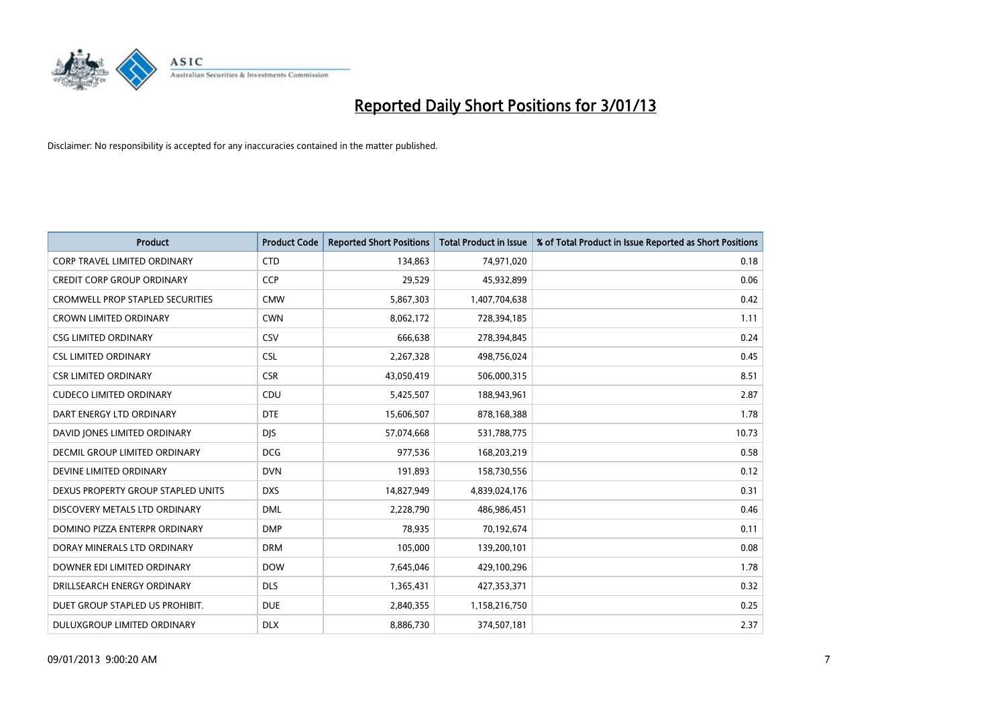

| <b>Product</b>                          | <b>Product Code</b> | <b>Reported Short Positions</b> | <b>Total Product in Issue</b> | % of Total Product in Issue Reported as Short Positions |
|-----------------------------------------|---------------------|---------------------------------|-------------------------------|---------------------------------------------------------|
| <b>CORP TRAVEL LIMITED ORDINARY</b>     | <b>CTD</b>          | 134,863                         | 74,971,020                    | 0.18                                                    |
| <b>CREDIT CORP GROUP ORDINARY</b>       | <b>CCP</b>          | 29,529                          | 45,932,899                    | 0.06                                                    |
| <b>CROMWELL PROP STAPLED SECURITIES</b> | <b>CMW</b>          | 5,867,303                       | 1,407,704,638                 | 0.42                                                    |
| <b>CROWN LIMITED ORDINARY</b>           | <b>CWN</b>          | 8,062,172                       | 728,394,185                   | 1.11                                                    |
| <b>CSG LIMITED ORDINARY</b>             | CSV                 | 666,638                         | 278,394,845                   | 0.24                                                    |
| <b>CSL LIMITED ORDINARY</b>             | <b>CSL</b>          | 2,267,328                       | 498,756,024                   | 0.45                                                    |
| <b>CSR LIMITED ORDINARY</b>             | <b>CSR</b>          | 43,050,419                      | 506,000,315                   | 8.51                                                    |
| <b>CUDECO LIMITED ORDINARY</b>          | CDU                 | 5,425,507                       | 188,943,961                   | 2.87                                                    |
| DART ENERGY LTD ORDINARY                | <b>DTE</b>          | 15,606,507                      | 878,168,388                   | 1.78                                                    |
| DAVID JONES LIMITED ORDINARY            | <b>DJS</b>          | 57,074,668                      | 531,788,775                   | 10.73                                                   |
| <b>DECMIL GROUP LIMITED ORDINARY</b>    | <b>DCG</b>          | 977,536                         | 168,203,219                   | 0.58                                                    |
| DEVINE LIMITED ORDINARY                 | <b>DVN</b>          | 191,893                         | 158,730,556                   | 0.12                                                    |
| DEXUS PROPERTY GROUP STAPLED UNITS      | <b>DXS</b>          | 14,827,949                      | 4,839,024,176                 | 0.31                                                    |
| DISCOVERY METALS LTD ORDINARY           | <b>DML</b>          | 2,228,790                       | 486,986,451                   | 0.46                                                    |
| DOMINO PIZZA ENTERPR ORDINARY           | <b>DMP</b>          | 78,935                          | 70,192,674                    | 0.11                                                    |
| DORAY MINERALS LTD ORDINARY             | <b>DRM</b>          | 105,000                         | 139,200,101                   | 0.08                                                    |
| DOWNER EDI LIMITED ORDINARY             | <b>DOW</b>          | 7,645,046                       | 429,100,296                   | 1.78                                                    |
| DRILLSEARCH ENERGY ORDINARY             | <b>DLS</b>          | 1,365,431                       | 427,353,371                   | 0.32                                                    |
| DUET GROUP STAPLED US PROHIBIT.         | <b>DUE</b>          | 2,840,355                       | 1,158,216,750                 | 0.25                                                    |
| DULUXGROUP LIMITED ORDINARY             | <b>DLX</b>          | 8,886,730                       | 374,507,181                   | 2.37                                                    |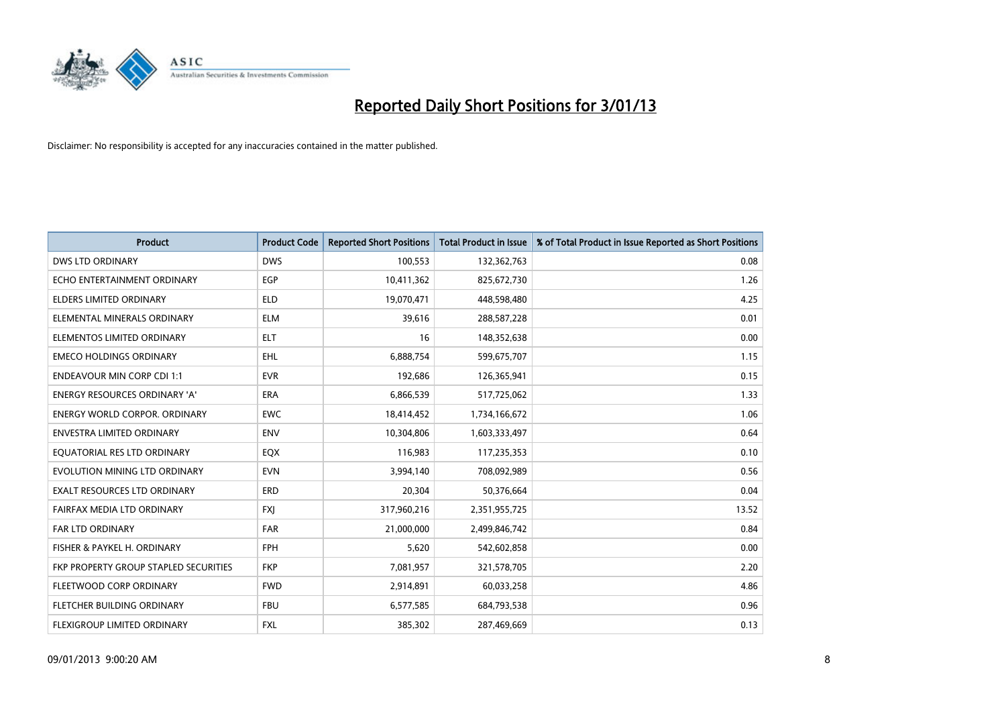

| <b>Product</b>                        | <b>Product Code</b> | <b>Reported Short Positions</b> | <b>Total Product in Issue</b> | % of Total Product in Issue Reported as Short Positions |
|---------------------------------------|---------------------|---------------------------------|-------------------------------|---------------------------------------------------------|
| <b>DWS LTD ORDINARY</b>               | <b>DWS</b>          | 100,553                         | 132,362,763                   | 0.08                                                    |
| ECHO ENTERTAINMENT ORDINARY           | <b>EGP</b>          | 10,411,362                      | 825,672,730                   | 1.26                                                    |
| <b>ELDERS LIMITED ORDINARY</b>        | <b>ELD</b>          | 19,070,471                      | 448,598,480                   | 4.25                                                    |
| ELEMENTAL MINERALS ORDINARY           | <b>ELM</b>          | 39,616                          | 288,587,228                   | 0.01                                                    |
| ELEMENTOS LIMITED ORDINARY            | <b>ELT</b>          | 16                              | 148,352,638                   | 0.00                                                    |
| <b>EMECO HOLDINGS ORDINARY</b>        | EHL                 | 6,888,754                       | 599,675,707                   | 1.15                                                    |
| <b>ENDEAVOUR MIN CORP CDI 1:1</b>     | <b>EVR</b>          | 192,686                         | 126,365,941                   | 0.15                                                    |
| <b>ENERGY RESOURCES ORDINARY 'A'</b>  | <b>ERA</b>          | 6,866,539                       | 517,725,062                   | 1.33                                                    |
| <b>ENERGY WORLD CORPOR. ORDINARY</b>  | <b>EWC</b>          | 18,414,452                      | 1,734,166,672                 | 1.06                                                    |
| <b>ENVESTRA LIMITED ORDINARY</b>      | <b>ENV</b>          | 10,304,806                      | 1,603,333,497                 | 0.64                                                    |
| EQUATORIAL RES LTD ORDINARY           | EQX                 | 116,983                         | 117,235,353                   | 0.10                                                    |
| EVOLUTION MINING LTD ORDINARY         | <b>EVN</b>          | 3,994,140                       | 708,092,989                   | 0.56                                                    |
| EXALT RESOURCES LTD ORDINARY          | <b>ERD</b>          | 20,304                          | 50,376,664                    | 0.04                                                    |
| FAIRFAX MEDIA LTD ORDINARY            | <b>FXI</b>          | 317,960,216                     | 2,351,955,725                 | 13.52                                                   |
| <b>FAR LTD ORDINARY</b>               | <b>FAR</b>          | 21,000,000                      | 2,499,846,742                 | 0.84                                                    |
| FISHER & PAYKEL H. ORDINARY           | <b>FPH</b>          | 5,620                           | 542,602,858                   | 0.00                                                    |
| FKP PROPERTY GROUP STAPLED SECURITIES | <b>FKP</b>          | 7,081,957                       | 321,578,705                   | 2.20                                                    |
| FLEETWOOD CORP ORDINARY               | <b>FWD</b>          | 2,914,891                       | 60,033,258                    | 4.86                                                    |
| FLETCHER BUILDING ORDINARY            | <b>FBU</b>          | 6,577,585                       | 684,793,538                   | 0.96                                                    |
| FLEXIGROUP LIMITED ORDINARY           | <b>FXL</b>          | 385,302                         | 287,469,669                   | 0.13                                                    |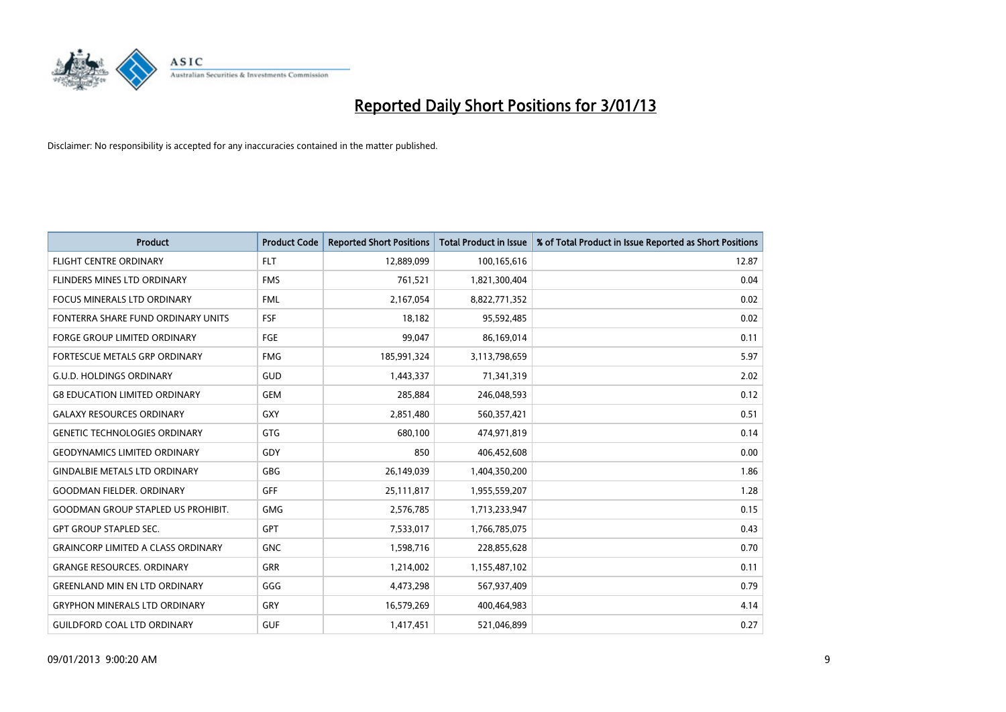

| <b>Product</b>                            | <b>Product Code</b> | <b>Reported Short Positions</b> | <b>Total Product in Issue</b> | % of Total Product in Issue Reported as Short Positions |
|-------------------------------------------|---------------------|---------------------------------|-------------------------------|---------------------------------------------------------|
| <b>FLIGHT CENTRE ORDINARY</b>             | <b>FLT</b>          | 12,889,099                      | 100,165,616                   | 12.87                                                   |
| FLINDERS MINES LTD ORDINARY               | <b>FMS</b>          | 761,521                         | 1,821,300,404                 | 0.04                                                    |
| FOCUS MINERALS LTD ORDINARY               | <b>FML</b>          | 2,167,054                       | 8,822,771,352                 | 0.02                                                    |
| FONTERRA SHARE FUND ORDINARY UNITS        | <b>FSF</b>          | 18,182                          | 95,592,485                    | 0.02                                                    |
| <b>FORGE GROUP LIMITED ORDINARY</b>       | FGE                 | 99,047                          | 86,169,014                    | 0.11                                                    |
| FORTESCUE METALS GRP ORDINARY             | <b>FMG</b>          | 185,991,324                     | 3,113,798,659                 | 5.97                                                    |
| <b>G.U.D. HOLDINGS ORDINARY</b>           | GUD                 | 1,443,337                       | 71,341,319                    | 2.02                                                    |
| <b>G8 EDUCATION LIMITED ORDINARY</b>      | <b>GEM</b>          | 285,884                         | 246,048,593                   | 0.12                                                    |
| <b>GALAXY RESOURCES ORDINARY</b>          | <b>GXY</b>          | 2,851,480                       | 560,357,421                   | 0.51                                                    |
| <b>GENETIC TECHNOLOGIES ORDINARY</b>      | <b>GTG</b>          | 680,100                         | 474,971,819                   | 0.14                                                    |
| <b>GEODYNAMICS LIMITED ORDINARY</b>       | GDY                 | 850                             | 406,452,608                   | 0.00                                                    |
| <b>GINDALBIE METALS LTD ORDINARY</b>      | <b>GBG</b>          | 26,149,039                      | 1,404,350,200                 | 1.86                                                    |
| <b>GOODMAN FIELDER, ORDINARY</b>          | <b>GFF</b>          | 25,111,817                      | 1,955,559,207                 | 1.28                                                    |
| <b>GOODMAN GROUP STAPLED US PROHIBIT.</b> | <b>GMG</b>          | 2,576,785                       | 1,713,233,947                 | 0.15                                                    |
| <b>GPT GROUP STAPLED SEC.</b>             | <b>GPT</b>          | 7,533,017                       | 1,766,785,075                 | 0.43                                                    |
| <b>GRAINCORP LIMITED A CLASS ORDINARY</b> | <b>GNC</b>          | 1,598,716                       | 228,855,628                   | 0.70                                                    |
| <b>GRANGE RESOURCES. ORDINARY</b>         | GRR                 | 1,214,002                       | 1,155,487,102                 | 0.11                                                    |
| <b>GREENLAND MIN EN LTD ORDINARY</b>      | GGG                 | 4,473,298                       | 567,937,409                   | 0.79                                                    |
| <b>GRYPHON MINERALS LTD ORDINARY</b>      | GRY                 | 16,579,269                      | 400,464,983                   | 4.14                                                    |
| <b>GUILDFORD COAL LTD ORDINARY</b>        | <b>GUF</b>          | 1,417,451                       | 521,046,899                   | 0.27                                                    |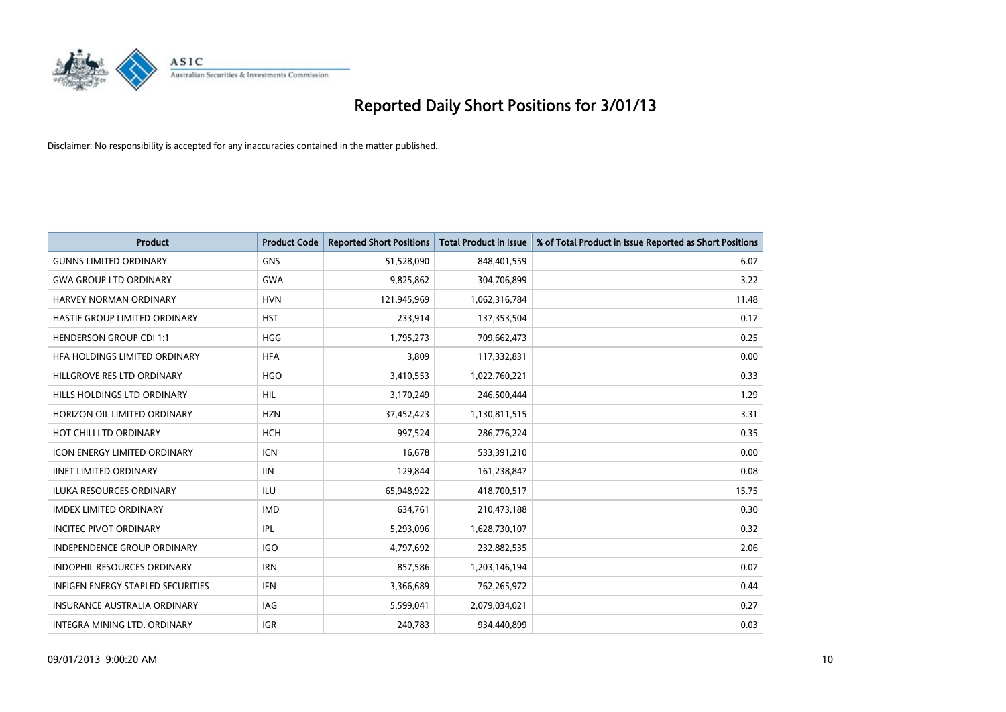

| <b>Product</b>                      | <b>Product Code</b> | <b>Reported Short Positions</b> | <b>Total Product in Issue</b> | % of Total Product in Issue Reported as Short Positions |
|-------------------------------------|---------------------|---------------------------------|-------------------------------|---------------------------------------------------------|
| <b>GUNNS LIMITED ORDINARY</b>       | <b>GNS</b>          | 51,528,090                      | 848,401,559                   | 6.07                                                    |
| <b>GWA GROUP LTD ORDINARY</b>       | <b>GWA</b>          | 9,825,862                       | 304,706,899                   | 3.22                                                    |
| HARVEY NORMAN ORDINARY              | <b>HVN</b>          | 121,945,969                     | 1,062,316,784                 | 11.48                                                   |
| HASTIE GROUP LIMITED ORDINARY       | <b>HST</b>          | 233,914                         | 137,353,504                   | 0.17                                                    |
| <b>HENDERSON GROUP CDI 1:1</b>      | <b>HGG</b>          | 1,795,273                       | 709,662,473                   | 0.25                                                    |
| HFA HOLDINGS LIMITED ORDINARY       | <b>HFA</b>          | 3,809                           | 117,332,831                   | 0.00                                                    |
| HILLGROVE RES LTD ORDINARY          | <b>HGO</b>          | 3,410,553                       | 1,022,760,221                 | 0.33                                                    |
| HILLS HOLDINGS LTD ORDINARY         | <b>HIL</b>          | 3,170,249                       | 246,500,444                   | 1.29                                                    |
| HORIZON OIL LIMITED ORDINARY        | <b>HZN</b>          | 37,452,423                      | 1,130,811,515                 | 3.31                                                    |
| HOT CHILI LTD ORDINARY              | <b>HCH</b>          | 997,524                         | 286,776,224                   | 0.35                                                    |
| <b>ICON ENERGY LIMITED ORDINARY</b> | <b>ICN</b>          | 16,678                          | 533,391,210                   | 0.00                                                    |
| <b>IINET LIMITED ORDINARY</b>       | <b>IIN</b>          | 129,844                         | 161,238,847                   | 0.08                                                    |
| <b>ILUKA RESOURCES ORDINARY</b>     | ILU                 | 65,948,922                      | 418,700,517                   | 15.75                                                   |
| <b>IMDEX LIMITED ORDINARY</b>       | <b>IMD</b>          | 634,761                         | 210,473,188                   | 0.30                                                    |
| <b>INCITEC PIVOT ORDINARY</b>       | <b>IPL</b>          | 5,293,096                       | 1,628,730,107                 | 0.32                                                    |
| <b>INDEPENDENCE GROUP ORDINARY</b>  | <b>IGO</b>          | 4,797,692                       | 232,882,535                   | 2.06                                                    |
| <b>INDOPHIL RESOURCES ORDINARY</b>  | <b>IRN</b>          | 857,586                         | 1,203,146,194                 | 0.07                                                    |
| INFIGEN ENERGY STAPLED SECURITIES   | <b>IFN</b>          | 3,366,689                       | 762,265,972                   | 0.44                                                    |
| <b>INSURANCE AUSTRALIA ORDINARY</b> | IAG                 | 5,599,041                       | 2,079,034,021                 | 0.27                                                    |
| INTEGRA MINING LTD. ORDINARY        | <b>IGR</b>          | 240,783                         | 934,440,899                   | 0.03                                                    |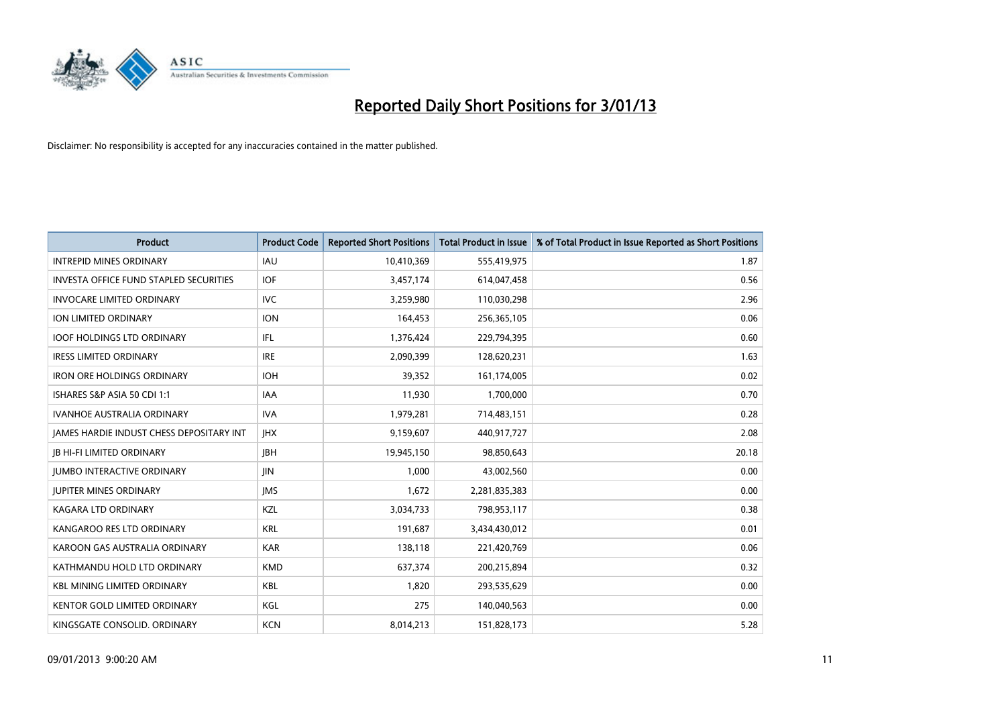

| <b>Product</b>                                  | <b>Product Code</b> | <b>Reported Short Positions</b> | <b>Total Product in Issue</b> | % of Total Product in Issue Reported as Short Positions |
|-------------------------------------------------|---------------------|---------------------------------|-------------------------------|---------------------------------------------------------|
| <b>INTREPID MINES ORDINARY</b>                  | <b>IAU</b>          | 10,410,369                      | 555,419,975                   | 1.87                                                    |
| <b>INVESTA OFFICE FUND STAPLED SECURITIES</b>   | <b>IOF</b>          | 3,457,174                       | 614,047,458                   | 0.56                                                    |
| <b>INVOCARE LIMITED ORDINARY</b>                | <b>IVC</b>          | 3,259,980                       | 110,030,298                   | 2.96                                                    |
| ION LIMITED ORDINARY                            | <b>ION</b>          | 164,453                         | 256,365,105                   | 0.06                                                    |
| <b>IOOF HOLDINGS LTD ORDINARY</b>               | IFL.                | 1,376,424                       | 229,794,395                   | 0.60                                                    |
| <b>IRESS LIMITED ORDINARY</b>                   | <b>IRE</b>          | 2,090,399                       | 128,620,231                   | 1.63                                                    |
| <b>IRON ORE HOLDINGS ORDINARY</b>               | <b>IOH</b>          | 39,352                          | 161,174,005                   | 0.02                                                    |
| ISHARES S&P ASIA 50 CDI 1:1                     | <b>IAA</b>          | 11,930                          | 1,700,000                     | 0.70                                                    |
| <b>IVANHOE AUSTRALIA ORDINARY</b>               | <b>IVA</b>          | 1,979,281                       | 714,483,151                   | 0.28                                                    |
| <b>JAMES HARDIE INDUST CHESS DEPOSITARY INT</b> | <b>IHX</b>          | 9,159,607                       | 440,917,727                   | 2.08                                                    |
| <b>IB HI-FI LIMITED ORDINARY</b>                | <b>IBH</b>          | 19,945,150                      | 98,850,643                    | 20.18                                                   |
| <b>JUMBO INTERACTIVE ORDINARY</b>               | <b>JIN</b>          | 1,000                           | 43,002,560                    | 0.00                                                    |
| <b>JUPITER MINES ORDINARY</b>                   | <b>IMS</b>          | 1,672                           | 2,281,835,383                 | 0.00                                                    |
| <b>KAGARA LTD ORDINARY</b>                      | KZL                 | 3,034,733                       | 798,953,117                   | 0.38                                                    |
| KANGAROO RES LTD ORDINARY                       | <b>KRL</b>          | 191,687                         | 3,434,430,012                 | 0.01                                                    |
| KAROON GAS AUSTRALIA ORDINARY                   | <b>KAR</b>          | 138,118                         | 221,420,769                   | 0.06                                                    |
| KATHMANDU HOLD LTD ORDINARY                     | <b>KMD</b>          | 637,374                         | 200,215,894                   | 0.32                                                    |
| <b>KBL MINING LIMITED ORDINARY</b>              | <b>KBL</b>          | 1,820                           | 293,535,629                   | 0.00                                                    |
| <b>KENTOR GOLD LIMITED ORDINARY</b>             | KGL                 | 275                             | 140,040,563                   | 0.00                                                    |
| KINGSGATE CONSOLID. ORDINARY                    | <b>KCN</b>          | 8,014,213                       | 151,828,173                   | 5.28                                                    |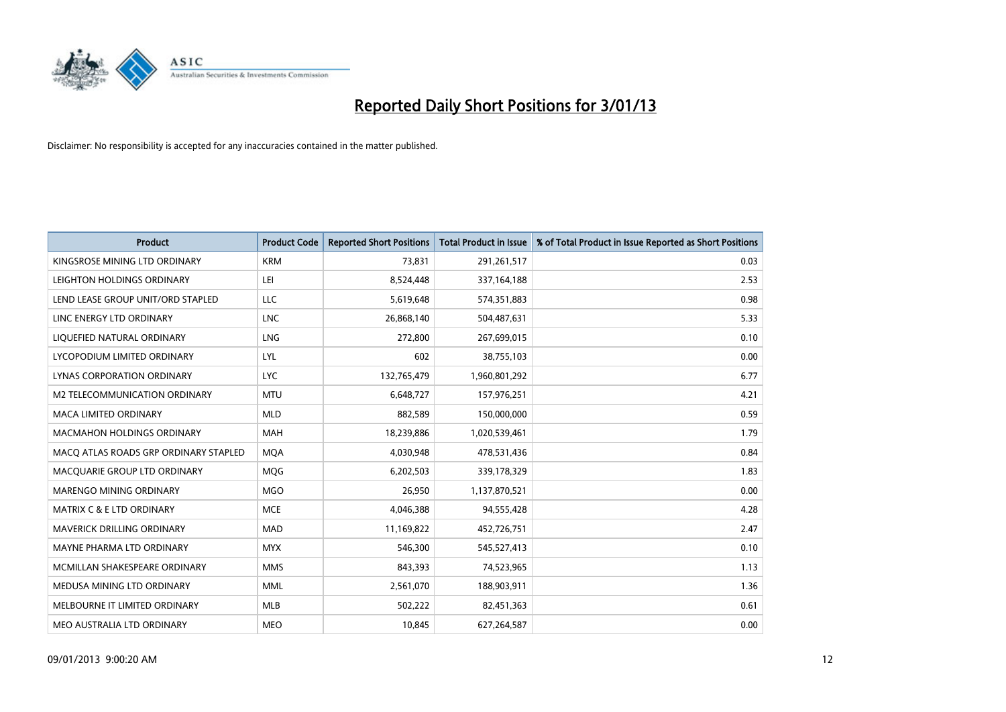

| <b>Product</b>                        | <b>Product Code</b> | <b>Reported Short Positions</b> | <b>Total Product in Issue</b> | % of Total Product in Issue Reported as Short Positions |
|---------------------------------------|---------------------|---------------------------------|-------------------------------|---------------------------------------------------------|
| KINGSROSE MINING LTD ORDINARY         | <b>KRM</b>          | 73,831                          | 291,261,517                   | 0.03                                                    |
| LEIGHTON HOLDINGS ORDINARY            | LEI                 | 8,524,448                       | 337, 164, 188                 | 2.53                                                    |
| LEND LEASE GROUP UNIT/ORD STAPLED     | LLC                 | 5,619,648                       | 574,351,883                   | 0.98                                                    |
| LINC ENERGY LTD ORDINARY              | <b>LNC</b>          | 26,868,140                      | 504,487,631                   | 5.33                                                    |
| LIQUEFIED NATURAL ORDINARY            | <b>LNG</b>          | 272,800                         | 267,699,015                   | 0.10                                                    |
| LYCOPODIUM LIMITED ORDINARY           | <b>LYL</b>          | 602                             | 38,755,103                    | 0.00                                                    |
| LYNAS CORPORATION ORDINARY            | <b>LYC</b>          | 132,765,479                     | 1,960,801,292                 | 6.77                                                    |
| M2 TELECOMMUNICATION ORDINARY         | <b>MTU</b>          | 6,648,727                       | 157,976,251                   | 4.21                                                    |
| <b>MACA LIMITED ORDINARY</b>          | <b>MLD</b>          | 882,589                         | 150,000,000                   | 0.59                                                    |
| <b>MACMAHON HOLDINGS ORDINARY</b>     | <b>MAH</b>          | 18,239,886                      | 1,020,539,461                 | 1.79                                                    |
| MACQ ATLAS ROADS GRP ORDINARY STAPLED | <b>MOA</b>          | 4,030,948                       | 478,531,436                   | 0.84                                                    |
| MACQUARIE GROUP LTD ORDINARY          | <b>MQG</b>          | 6,202,503                       | 339,178,329                   | 1.83                                                    |
| MARENGO MINING ORDINARY               | <b>MGO</b>          | 26,950                          | 1,137,870,521                 | 0.00                                                    |
| <b>MATRIX C &amp; E LTD ORDINARY</b>  | <b>MCE</b>          | 4,046,388                       | 94,555,428                    | 4.28                                                    |
| MAVERICK DRILLING ORDINARY            | <b>MAD</b>          | 11,169,822                      | 452,726,751                   | 2.47                                                    |
| MAYNE PHARMA LTD ORDINARY             | <b>MYX</b>          | 546,300                         | 545,527,413                   | 0.10                                                    |
| MCMILLAN SHAKESPEARE ORDINARY         | <b>MMS</b>          | 843,393                         | 74,523,965                    | 1.13                                                    |
| MEDUSA MINING LTD ORDINARY            | <b>MML</b>          | 2,561,070                       | 188,903,911                   | 1.36                                                    |
| MELBOURNE IT LIMITED ORDINARY         | <b>MLB</b>          | 502,222                         | 82,451,363                    | 0.61                                                    |
| MEO AUSTRALIA LTD ORDINARY            | <b>MEO</b>          | 10,845                          | 627,264,587                   | 0.00                                                    |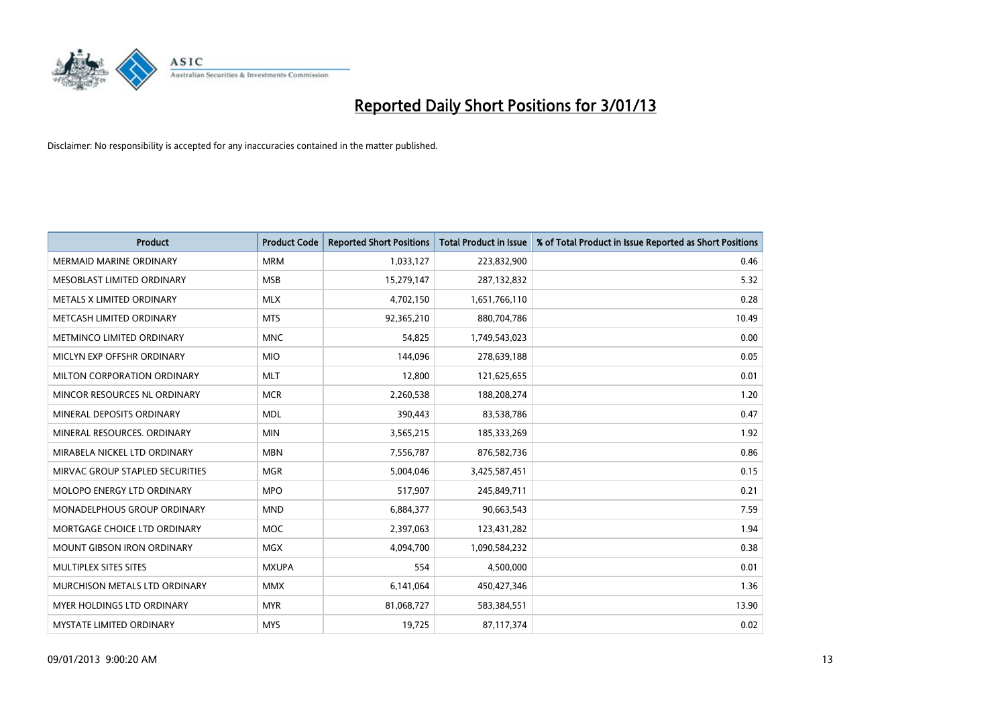

| <b>Product</b>                     | <b>Product Code</b> | <b>Reported Short Positions</b> | <b>Total Product in Issue</b> | % of Total Product in Issue Reported as Short Positions |
|------------------------------------|---------------------|---------------------------------|-------------------------------|---------------------------------------------------------|
| <b>MERMAID MARINE ORDINARY</b>     | <b>MRM</b>          | 1,033,127                       | 223,832,900                   | 0.46                                                    |
| <b>MESOBLAST LIMITED ORDINARY</b>  | <b>MSB</b>          | 15,279,147                      | 287,132,832                   | 5.32                                                    |
| <b>METALS X LIMITED ORDINARY</b>   | <b>MLX</b>          | 4,702,150                       | 1,651,766,110                 | 0.28                                                    |
| METCASH LIMITED ORDINARY           | <b>MTS</b>          | 92,365,210                      | 880,704,786                   | 10.49                                                   |
| METMINCO LIMITED ORDINARY          | <b>MNC</b>          | 54,825                          | 1,749,543,023                 | 0.00                                                    |
| MICLYN EXP OFFSHR ORDINARY         | <b>MIO</b>          | 144,096                         | 278,639,188                   | 0.05                                                    |
| MILTON CORPORATION ORDINARY        | <b>MLT</b>          | 12,800                          | 121,625,655                   | 0.01                                                    |
| MINCOR RESOURCES NL ORDINARY       | <b>MCR</b>          | 2,260,538                       | 188,208,274                   | 1.20                                                    |
| MINERAL DEPOSITS ORDINARY          | <b>MDL</b>          | 390,443                         | 83,538,786                    | 0.47                                                    |
| MINERAL RESOURCES, ORDINARY        | <b>MIN</b>          | 3,565,215                       | 185,333,269                   | 1.92                                                    |
| MIRABELA NICKEL LTD ORDINARY       | <b>MBN</b>          | 7,556,787                       | 876,582,736                   | 0.86                                                    |
| MIRVAC GROUP STAPLED SECURITIES    | <b>MGR</b>          | 5,004,046                       | 3,425,587,451                 | 0.15                                                    |
| MOLOPO ENERGY LTD ORDINARY         | <b>MPO</b>          | 517,907                         | 245,849,711                   | 0.21                                                    |
| <b>MONADELPHOUS GROUP ORDINARY</b> | <b>MND</b>          | 6,884,377                       | 90,663,543                    | 7.59                                                    |
| MORTGAGE CHOICE LTD ORDINARY       | <b>MOC</b>          | 2,397,063                       | 123,431,282                   | 1.94                                                    |
| <b>MOUNT GIBSON IRON ORDINARY</b>  | <b>MGX</b>          | 4,094,700                       | 1,090,584,232                 | 0.38                                                    |
| MULTIPLEX SITES SITES              | <b>MXUPA</b>        | 554                             | 4,500,000                     | 0.01                                                    |
| MURCHISON METALS LTD ORDINARY      | <b>MMX</b>          | 6,141,064                       | 450,427,346                   | 1.36                                                    |
| <b>MYER HOLDINGS LTD ORDINARY</b>  | <b>MYR</b>          | 81,068,727                      | 583,384,551                   | 13.90                                                   |
| MYSTATE LIMITED ORDINARY           | <b>MYS</b>          | 19,725                          | 87,117,374                    | 0.02                                                    |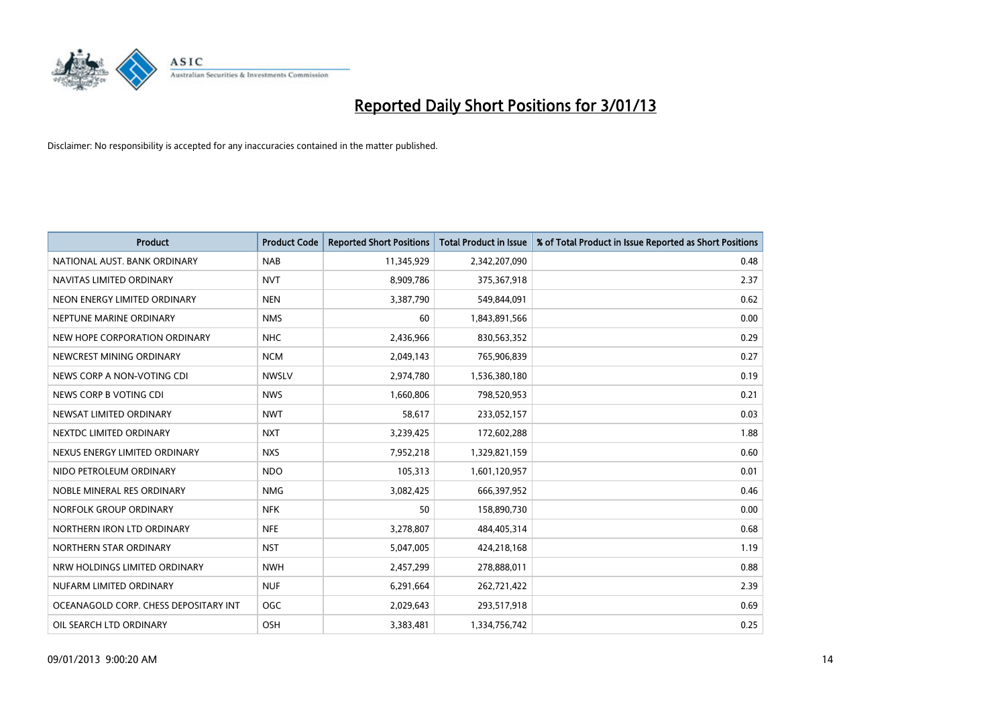

| <b>Product</b>                        | <b>Product Code</b> | <b>Reported Short Positions</b> | <b>Total Product in Issue</b> | % of Total Product in Issue Reported as Short Positions |
|---------------------------------------|---------------------|---------------------------------|-------------------------------|---------------------------------------------------------|
| NATIONAL AUST, BANK ORDINARY          | <b>NAB</b>          | 11,345,929                      | 2,342,207,090                 | 0.48                                                    |
| NAVITAS LIMITED ORDINARY              | <b>NVT</b>          | 8,909,786                       | 375,367,918                   | 2.37                                                    |
| NEON ENERGY LIMITED ORDINARY          | <b>NEN</b>          | 3,387,790                       | 549,844,091                   | 0.62                                                    |
| NEPTUNE MARINE ORDINARY               | <b>NMS</b>          | 60                              | 1,843,891,566                 | 0.00                                                    |
| NEW HOPE CORPORATION ORDINARY         | <b>NHC</b>          | 2,436,966                       | 830,563,352                   | 0.29                                                    |
| NEWCREST MINING ORDINARY              | <b>NCM</b>          | 2,049,143                       | 765,906,839                   | 0.27                                                    |
| NEWS CORP A NON-VOTING CDI            | <b>NWSLV</b>        | 2,974,780                       | 1,536,380,180                 | 0.19                                                    |
| NEWS CORP B VOTING CDI                | <b>NWS</b>          | 1,660,806                       | 798,520,953                   | 0.21                                                    |
| NEWSAT LIMITED ORDINARY               | <b>NWT</b>          | 58,617                          | 233,052,157                   | 0.03                                                    |
| NEXTDC LIMITED ORDINARY               | <b>NXT</b>          | 3,239,425                       | 172,602,288                   | 1.88                                                    |
| NEXUS ENERGY LIMITED ORDINARY         | <b>NXS</b>          | 7,952,218                       | 1,329,821,159                 | 0.60                                                    |
| NIDO PETROLEUM ORDINARY               | <b>NDO</b>          | 105,313                         | 1,601,120,957                 | 0.01                                                    |
| NOBLE MINERAL RES ORDINARY            | <b>NMG</b>          | 3,082,425                       | 666,397,952                   | 0.46                                                    |
| NORFOLK GROUP ORDINARY                | <b>NFK</b>          | 50                              | 158,890,730                   | 0.00                                                    |
| NORTHERN IRON LTD ORDINARY            | <b>NFE</b>          | 3,278,807                       | 484,405,314                   | 0.68                                                    |
| NORTHERN STAR ORDINARY                | <b>NST</b>          | 5,047,005                       | 424,218,168                   | 1.19                                                    |
| NRW HOLDINGS LIMITED ORDINARY         | <b>NWH</b>          | 2,457,299                       | 278,888,011                   | 0.88                                                    |
| NUFARM LIMITED ORDINARY               | <b>NUF</b>          | 6,291,664                       | 262,721,422                   | 2.39                                                    |
| OCEANAGOLD CORP. CHESS DEPOSITARY INT | <b>OGC</b>          | 2,029,643                       | 293,517,918                   | 0.69                                                    |
| OIL SEARCH LTD ORDINARY               | OSH                 | 3,383,481                       | 1,334,756,742                 | 0.25                                                    |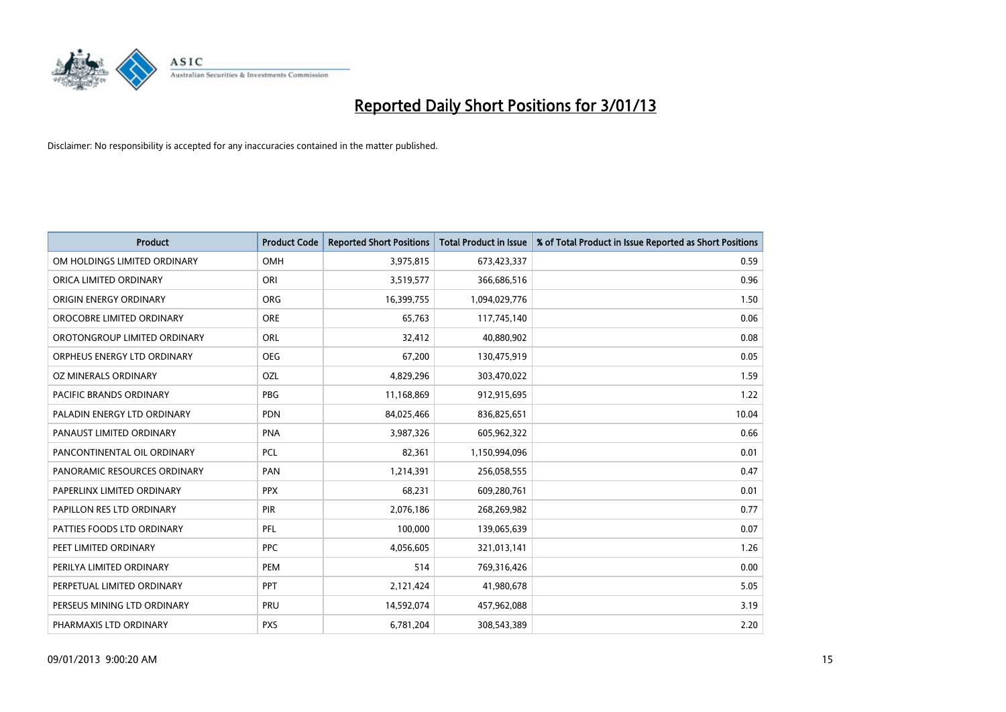

| <b>Product</b>               | <b>Product Code</b> | <b>Reported Short Positions</b> | <b>Total Product in Issue</b> | % of Total Product in Issue Reported as Short Positions |
|------------------------------|---------------------|---------------------------------|-------------------------------|---------------------------------------------------------|
| OM HOLDINGS LIMITED ORDINARY | OMH                 | 3,975,815                       | 673,423,337                   | 0.59                                                    |
| ORICA LIMITED ORDINARY       | ORI                 | 3,519,577                       | 366,686,516                   | 0.96                                                    |
| ORIGIN ENERGY ORDINARY       | <b>ORG</b>          | 16,399,755                      | 1,094,029,776                 | 1.50                                                    |
| OROCOBRE LIMITED ORDINARY    | <b>ORE</b>          | 65,763                          | 117,745,140                   | 0.06                                                    |
| OROTONGROUP LIMITED ORDINARY | ORL                 | 32,412                          | 40,880,902                    | 0.08                                                    |
| ORPHEUS ENERGY LTD ORDINARY  | <b>OEG</b>          | 67,200                          | 130,475,919                   | 0.05                                                    |
| OZ MINERALS ORDINARY         | OZL                 | 4,829,296                       | 303,470,022                   | 1.59                                                    |
| PACIFIC BRANDS ORDINARY      | PBG                 | 11,168,869                      | 912,915,695                   | 1.22                                                    |
| PALADIN ENERGY LTD ORDINARY  | <b>PDN</b>          | 84,025,466                      | 836,825,651                   | 10.04                                                   |
| PANAUST LIMITED ORDINARY     | PNA                 | 3,987,326                       | 605,962,322                   | 0.66                                                    |
| PANCONTINENTAL OIL ORDINARY  | PCL                 | 82,361                          | 1,150,994,096                 | 0.01                                                    |
| PANORAMIC RESOURCES ORDINARY | PAN                 | 1,214,391                       | 256,058,555                   | 0.47                                                    |
| PAPERLINX LIMITED ORDINARY   | <b>PPX</b>          | 68,231                          | 609,280,761                   | 0.01                                                    |
| PAPILLON RES LTD ORDINARY    | <b>PIR</b>          | 2,076,186                       | 268,269,982                   | 0.77                                                    |
| PATTIES FOODS LTD ORDINARY   | PFL                 | 100,000                         | 139,065,639                   | 0.07                                                    |
| PEET LIMITED ORDINARY        | <b>PPC</b>          | 4,056,605                       | 321,013,141                   | 1.26                                                    |
| PERILYA LIMITED ORDINARY     | PEM                 | 514                             | 769,316,426                   | 0.00                                                    |
| PERPETUAL LIMITED ORDINARY   | <b>PPT</b>          | 2,121,424                       | 41,980,678                    | 5.05                                                    |
| PERSEUS MINING LTD ORDINARY  | PRU                 | 14,592,074                      | 457,962,088                   | 3.19                                                    |
| PHARMAXIS LTD ORDINARY       | <b>PXS</b>          | 6,781,204                       | 308,543,389                   | 2.20                                                    |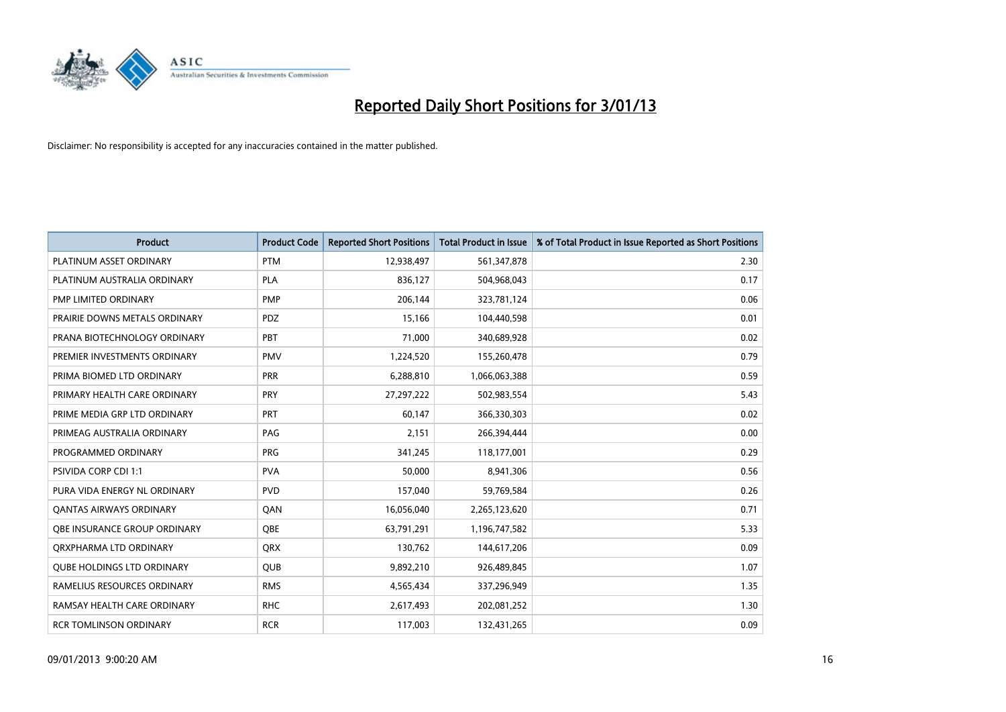

| <b>Product</b>                    | <b>Product Code</b> | <b>Reported Short Positions</b> | <b>Total Product in Issue</b> | % of Total Product in Issue Reported as Short Positions |
|-----------------------------------|---------------------|---------------------------------|-------------------------------|---------------------------------------------------------|
| PLATINUM ASSET ORDINARY           | <b>PTM</b>          | 12,938,497                      | 561,347,878                   | 2.30                                                    |
| PLATINUM AUSTRALIA ORDINARY       | <b>PLA</b>          | 836,127                         | 504,968,043                   | 0.17                                                    |
| PMP LIMITED ORDINARY              | <b>PMP</b>          | 206,144                         | 323,781,124                   | 0.06                                                    |
| PRAIRIE DOWNS METALS ORDINARY     | <b>PDZ</b>          | 15,166                          | 104,440,598                   | 0.01                                                    |
| PRANA BIOTECHNOLOGY ORDINARY      | PBT                 | 71,000                          | 340,689,928                   | 0.02                                                    |
| PREMIER INVESTMENTS ORDINARY      | <b>PMV</b>          | 1,224,520                       | 155,260,478                   | 0.79                                                    |
| PRIMA BIOMED LTD ORDINARY         | <b>PRR</b>          | 6,288,810                       | 1,066,063,388                 | 0.59                                                    |
| PRIMARY HEALTH CARE ORDINARY      | <b>PRY</b>          | 27,297,222                      | 502,983,554                   | 5.43                                                    |
| PRIME MEDIA GRP LTD ORDINARY      | PRT                 | 60,147                          | 366,330,303                   | 0.02                                                    |
| PRIMEAG AUSTRALIA ORDINARY        | PAG                 | 2,151                           | 266,394,444                   | 0.00                                                    |
| PROGRAMMED ORDINARY               | <b>PRG</b>          | 341,245                         | 118,177,001                   | 0.29                                                    |
| <b>PSIVIDA CORP CDI 1:1</b>       | <b>PVA</b>          | 50,000                          | 8,941,306                     | 0.56                                                    |
| PURA VIDA ENERGY NL ORDINARY      | <b>PVD</b>          | 157,040                         | 59,769,584                    | 0.26                                                    |
| <b>QANTAS AIRWAYS ORDINARY</b>    | QAN                 | 16,056,040                      | 2,265,123,620                 | 0.71                                                    |
| OBE INSURANCE GROUP ORDINARY      | <b>OBE</b>          | 63,791,291                      | 1,196,747,582                 | 5.33                                                    |
| ORXPHARMA LTD ORDINARY            | <b>QRX</b>          | 130,762                         | 144,617,206                   | 0.09                                                    |
| <b>QUBE HOLDINGS LTD ORDINARY</b> | QUB                 | 9,892,210                       | 926,489,845                   | 1.07                                                    |
| RAMELIUS RESOURCES ORDINARY       | <b>RMS</b>          | 4,565,434                       | 337,296,949                   | 1.35                                                    |
| RAMSAY HEALTH CARE ORDINARY       | <b>RHC</b>          | 2,617,493                       | 202,081,252                   | 1.30                                                    |
| <b>RCR TOMLINSON ORDINARY</b>     | <b>RCR</b>          | 117,003                         | 132,431,265                   | 0.09                                                    |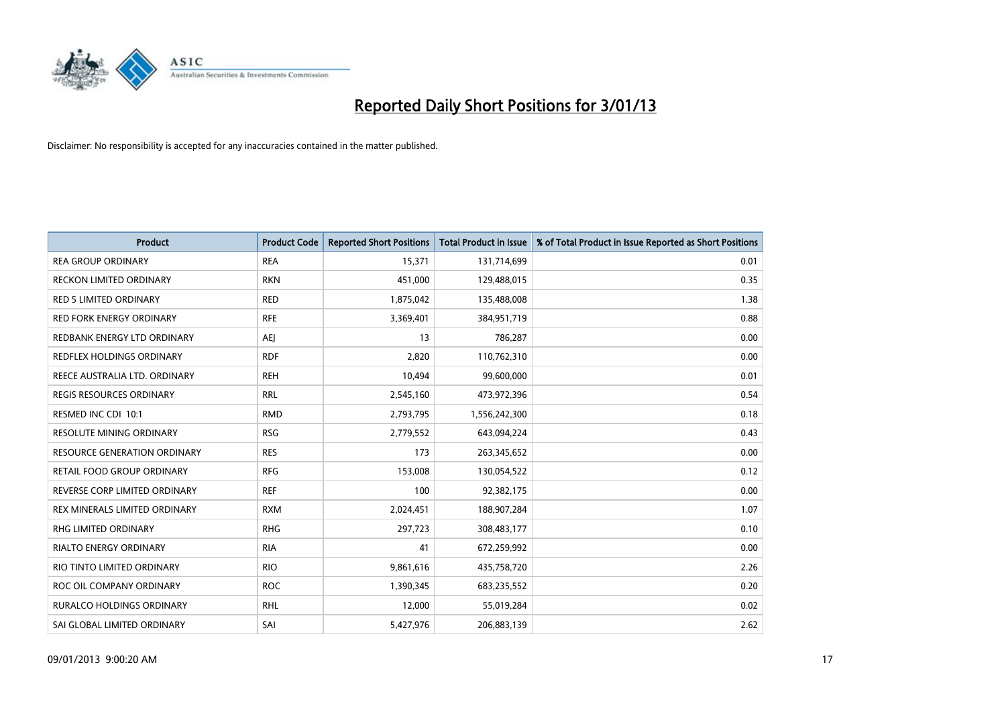

| <b>Product</b>                      | <b>Product Code</b> | <b>Reported Short Positions</b> | <b>Total Product in Issue</b> | % of Total Product in Issue Reported as Short Positions |
|-------------------------------------|---------------------|---------------------------------|-------------------------------|---------------------------------------------------------|
| <b>REA GROUP ORDINARY</b>           | <b>REA</b>          | 15,371                          | 131,714,699                   | 0.01                                                    |
| <b>RECKON LIMITED ORDINARY</b>      | <b>RKN</b>          | 451,000                         | 129,488,015                   | 0.35                                                    |
| <b>RED 5 LIMITED ORDINARY</b>       | <b>RED</b>          | 1,875,042                       | 135,488,008                   | 1.38                                                    |
| RED FORK ENERGY ORDINARY            | <b>RFE</b>          | 3,369,401                       | 384,951,719                   | 0.88                                                    |
| REDBANK ENERGY LTD ORDINARY         | AEI                 | 13                              | 786,287                       | 0.00                                                    |
| REDFLEX HOLDINGS ORDINARY           | <b>RDF</b>          | 2,820                           | 110,762,310                   | 0.00                                                    |
| REECE AUSTRALIA LTD. ORDINARY       | <b>REH</b>          | 10,494                          | 99,600,000                    | 0.01                                                    |
| <b>REGIS RESOURCES ORDINARY</b>     | <b>RRL</b>          | 2,545,160                       | 473,972,396                   | 0.54                                                    |
| RESMED INC CDI 10:1                 | <b>RMD</b>          | 2,793,795                       | 1,556,242,300                 | 0.18                                                    |
| <b>RESOLUTE MINING ORDINARY</b>     | <b>RSG</b>          | 2,779,552                       | 643,094,224                   | 0.43                                                    |
| <b>RESOURCE GENERATION ORDINARY</b> | <b>RES</b>          | 173                             | 263,345,652                   | 0.00                                                    |
| RETAIL FOOD GROUP ORDINARY          | <b>RFG</b>          | 153,008                         | 130,054,522                   | 0.12                                                    |
| REVERSE CORP LIMITED ORDINARY       | <b>REF</b>          | 100                             | 92,382,175                    | 0.00                                                    |
| REX MINERALS LIMITED ORDINARY       | <b>RXM</b>          | 2,024,451                       | 188,907,284                   | 1.07                                                    |
| <b>RHG LIMITED ORDINARY</b>         | <b>RHG</b>          | 297,723                         | 308,483,177                   | 0.10                                                    |
| <b>RIALTO ENERGY ORDINARY</b>       | <b>RIA</b>          | 41                              | 672,259,992                   | 0.00                                                    |
| RIO TINTO LIMITED ORDINARY          | <b>RIO</b>          | 9,861,616                       | 435,758,720                   | 2.26                                                    |
| ROC OIL COMPANY ORDINARY            | <b>ROC</b>          | 1,390,345                       | 683,235,552                   | 0.20                                                    |
| <b>RURALCO HOLDINGS ORDINARY</b>    | <b>RHL</b>          | 12,000                          | 55,019,284                    | 0.02                                                    |
| SAI GLOBAL LIMITED ORDINARY         | SAI                 | 5,427,976                       | 206,883,139                   | 2.62                                                    |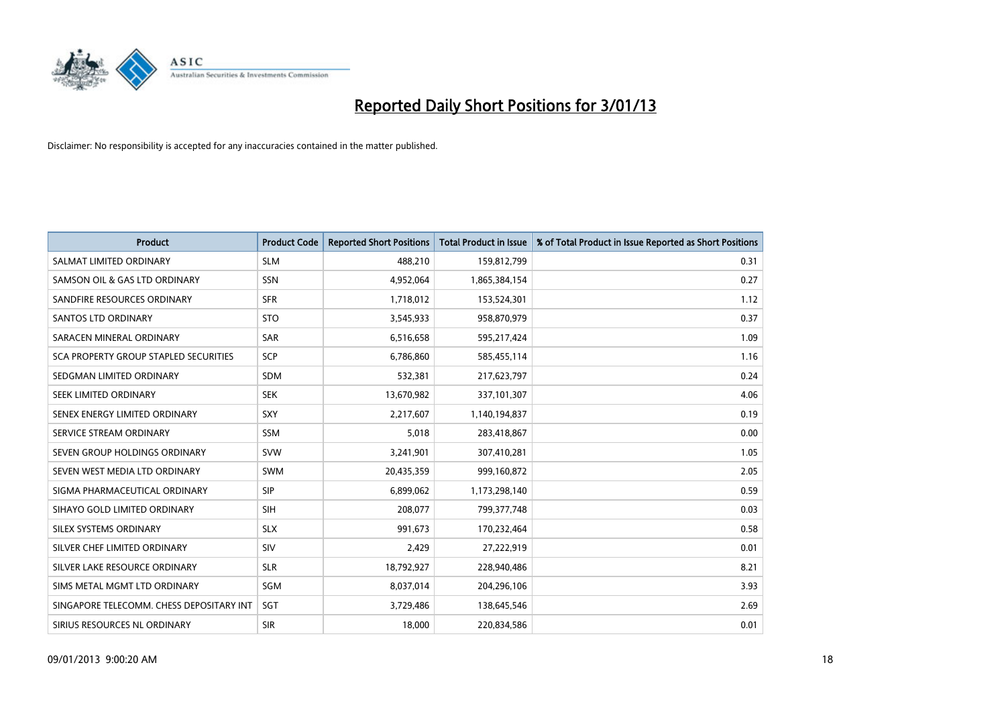

| <b>Product</b>                           | <b>Product Code</b> | <b>Reported Short Positions</b> | <b>Total Product in Issue</b> | % of Total Product in Issue Reported as Short Positions |
|------------------------------------------|---------------------|---------------------------------|-------------------------------|---------------------------------------------------------|
| SALMAT LIMITED ORDINARY                  | <b>SLM</b>          | 488,210                         | 159,812,799                   | 0.31                                                    |
| SAMSON OIL & GAS LTD ORDINARY            | <b>SSN</b>          | 4,952,064                       | 1,865,384,154                 | 0.27                                                    |
| SANDFIRE RESOURCES ORDINARY              | <b>SFR</b>          | 1,718,012                       | 153,524,301                   | 1.12                                                    |
| <b>SANTOS LTD ORDINARY</b>               | <b>STO</b>          | 3,545,933                       | 958,870,979                   | 0.37                                                    |
| SARACEN MINERAL ORDINARY                 | <b>SAR</b>          | 6,516,658                       | 595,217,424                   | 1.09                                                    |
| SCA PROPERTY GROUP STAPLED SECURITIES    | <b>SCP</b>          | 6,786,860                       | 585,455,114                   | 1.16                                                    |
| SEDGMAN LIMITED ORDINARY                 | <b>SDM</b>          | 532,381                         | 217,623,797                   | 0.24                                                    |
| SEEK LIMITED ORDINARY                    | <b>SEK</b>          | 13,670,982                      | 337,101,307                   | 4.06                                                    |
| SENEX ENERGY LIMITED ORDINARY            | SXY                 | 2,217,607                       | 1,140,194,837                 | 0.19                                                    |
| SERVICE STREAM ORDINARY                  | <b>SSM</b>          | 5,018                           | 283,418,867                   | 0.00                                                    |
| SEVEN GROUP HOLDINGS ORDINARY            | <b>SVW</b>          | 3,241,901                       | 307,410,281                   | 1.05                                                    |
| SEVEN WEST MEDIA LTD ORDINARY            | <b>SWM</b>          | 20,435,359                      | 999,160,872                   | 2.05                                                    |
| SIGMA PHARMACEUTICAL ORDINARY            | <b>SIP</b>          | 6,899,062                       | 1,173,298,140                 | 0.59                                                    |
| SIHAYO GOLD LIMITED ORDINARY             | SIH                 | 208,077                         | 799, 377, 748                 | 0.03                                                    |
| SILEX SYSTEMS ORDINARY                   | <b>SLX</b>          | 991,673                         | 170,232,464                   | 0.58                                                    |
| SILVER CHEF LIMITED ORDINARY             | SIV                 | 2,429                           | 27,222,919                    | 0.01                                                    |
| SILVER LAKE RESOURCE ORDINARY            | <b>SLR</b>          | 18,792,927                      | 228,940,486                   | 8.21                                                    |
| SIMS METAL MGMT LTD ORDINARY             | SGM                 | 8,037,014                       | 204,296,106                   | 3.93                                                    |
| SINGAPORE TELECOMM. CHESS DEPOSITARY INT | SGT                 | 3,729,486                       | 138,645,546                   | 2.69                                                    |
| SIRIUS RESOURCES NL ORDINARY             | <b>SIR</b>          | 18,000                          | 220,834,586                   | 0.01                                                    |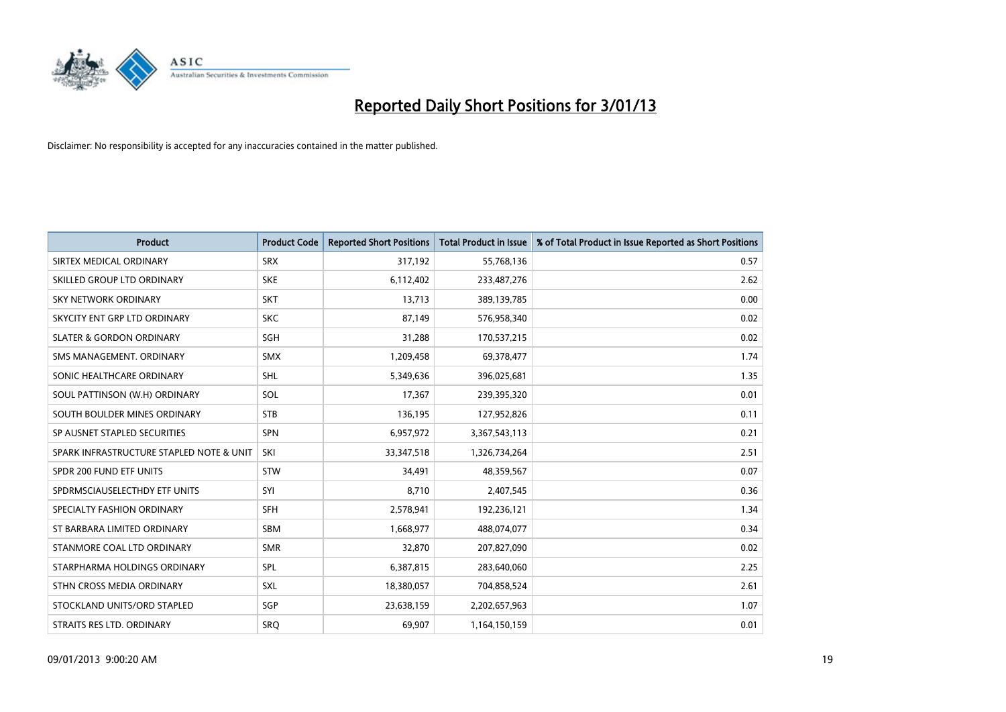

| <b>Product</b>                           | <b>Product Code</b> | <b>Reported Short Positions</b> | <b>Total Product in Issue</b> | % of Total Product in Issue Reported as Short Positions |
|------------------------------------------|---------------------|---------------------------------|-------------------------------|---------------------------------------------------------|
| SIRTEX MEDICAL ORDINARY                  | <b>SRX</b>          | 317,192                         | 55,768,136                    | 0.57                                                    |
| SKILLED GROUP LTD ORDINARY               | <b>SKE</b>          | 6,112,402                       | 233,487,276                   | 2.62                                                    |
| <b>SKY NETWORK ORDINARY</b>              | <b>SKT</b>          | 13,713                          | 389,139,785                   | 0.00                                                    |
| SKYCITY ENT GRP LTD ORDINARY             | <b>SKC</b>          | 87,149                          | 576,958,340                   | 0.02                                                    |
| <b>SLATER &amp; GORDON ORDINARY</b>      | SGH                 | 31,288                          | 170,537,215                   | 0.02                                                    |
| SMS MANAGEMENT, ORDINARY                 | <b>SMX</b>          | 1,209,458                       | 69,378,477                    | 1.74                                                    |
| SONIC HEALTHCARE ORDINARY                | <b>SHL</b>          | 5,349,636                       | 396,025,681                   | 1.35                                                    |
| SOUL PATTINSON (W.H) ORDINARY            | SOL                 | 17,367                          | 239,395,320                   | 0.01                                                    |
| SOUTH BOULDER MINES ORDINARY             | <b>STB</b>          | 136,195                         | 127,952,826                   | 0.11                                                    |
| SP AUSNET STAPLED SECURITIES             | <b>SPN</b>          | 6,957,972                       | 3,367,543,113                 | 0.21                                                    |
| SPARK INFRASTRUCTURE STAPLED NOTE & UNIT | SKI                 | 33,347,518                      | 1,326,734,264                 | 2.51                                                    |
| SPDR 200 FUND ETF UNITS                  | <b>STW</b>          | 34,491                          | 48,359,567                    | 0.07                                                    |
| SPDRMSCIAUSELECTHDY ETF UNITS            | SYI                 | 8,710                           | 2,407,545                     | 0.36                                                    |
| SPECIALTY FASHION ORDINARY               | SFH                 | 2,578,941                       | 192,236,121                   | 1.34                                                    |
| ST BARBARA LIMITED ORDINARY              | <b>SBM</b>          | 1,668,977                       | 488,074,077                   | 0.34                                                    |
| STANMORE COAL LTD ORDINARY               | <b>SMR</b>          | 32,870                          | 207,827,090                   | 0.02                                                    |
| STARPHARMA HOLDINGS ORDINARY             | SPL                 | 6,387,815                       | 283,640,060                   | 2.25                                                    |
| STHN CROSS MEDIA ORDINARY                | <b>SXL</b>          | 18,380,057                      | 704,858,524                   | 2.61                                                    |
| STOCKLAND UNITS/ORD STAPLED              | SGP                 | 23,638,159                      | 2,202,657,963                 | 1.07                                                    |
| STRAITS RES LTD. ORDINARY                | SRO                 | 69,907                          | 1,164,150,159                 | 0.01                                                    |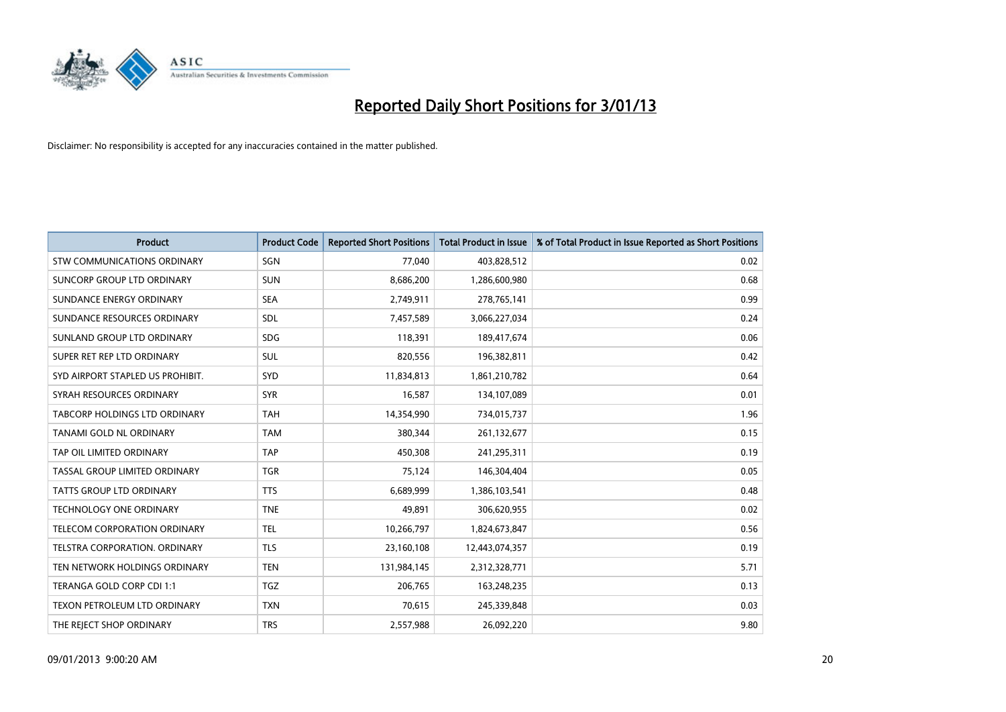

| <b>Product</b>                      | <b>Product Code</b> | <b>Reported Short Positions</b> | <b>Total Product in Issue</b> | % of Total Product in Issue Reported as Short Positions |
|-------------------------------------|---------------------|---------------------------------|-------------------------------|---------------------------------------------------------|
| STW COMMUNICATIONS ORDINARY         | SGN                 | 77,040                          | 403,828,512                   | 0.02                                                    |
| SUNCORP GROUP LTD ORDINARY          | <b>SUN</b>          | 8,686,200                       | 1,286,600,980                 | 0.68                                                    |
| SUNDANCE ENERGY ORDINARY            | <b>SEA</b>          | 2,749,911                       | 278,765,141                   | 0.99                                                    |
| SUNDANCE RESOURCES ORDINARY         | <b>SDL</b>          | 7,457,589                       | 3,066,227,034                 | 0.24                                                    |
| SUNLAND GROUP LTD ORDINARY          | <b>SDG</b>          | 118,391                         | 189,417,674                   | 0.06                                                    |
| SUPER RET REP LTD ORDINARY          | <b>SUL</b>          | 820,556                         | 196,382,811                   | 0.42                                                    |
| SYD AIRPORT STAPLED US PROHIBIT.    | SYD                 | 11,834,813                      | 1,861,210,782                 | 0.64                                                    |
| SYRAH RESOURCES ORDINARY            | <b>SYR</b>          | 16,587                          | 134,107,089                   | 0.01                                                    |
| TABCORP HOLDINGS LTD ORDINARY       | <b>TAH</b>          | 14,354,990                      | 734,015,737                   | 1.96                                                    |
| TANAMI GOLD NL ORDINARY             | <b>TAM</b>          | 380,344                         | 261,132,677                   | 0.15                                                    |
| TAP OIL LIMITED ORDINARY            | <b>TAP</b>          | 450,308                         | 241,295,311                   | 0.19                                                    |
| TASSAL GROUP LIMITED ORDINARY       | <b>TGR</b>          | 75,124                          | 146,304,404                   | 0.05                                                    |
| TATTS GROUP LTD ORDINARY            | <b>TTS</b>          | 6,689,999                       | 1,386,103,541                 | 0.48                                                    |
| TECHNOLOGY ONE ORDINARY             | <b>TNE</b>          | 49,891                          | 306,620,955                   | 0.02                                                    |
| <b>TELECOM CORPORATION ORDINARY</b> | <b>TEL</b>          | 10,266,797                      | 1,824,673,847                 | 0.56                                                    |
| TELSTRA CORPORATION. ORDINARY       | <b>TLS</b>          | 23,160,108                      | 12,443,074,357                | 0.19                                                    |
| TEN NETWORK HOLDINGS ORDINARY       | <b>TEN</b>          | 131,984,145                     | 2,312,328,771                 | 5.71                                                    |
| TERANGA GOLD CORP CDI 1:1           | <b>TGZ</b>          | 206,765                         | 163,248,235                   | 0.13                                                    |
| TEXON PETROLEUM LTD ORDINARY        | <b>TXN</b>          | 70,615                          | 245,339,848                   | 0.03                                                    |
| THE REJECT SHOP ORDINARY            | <b>TRS</b>          | 2,557,988                       | 26,092,220                    | 9.80                                                    |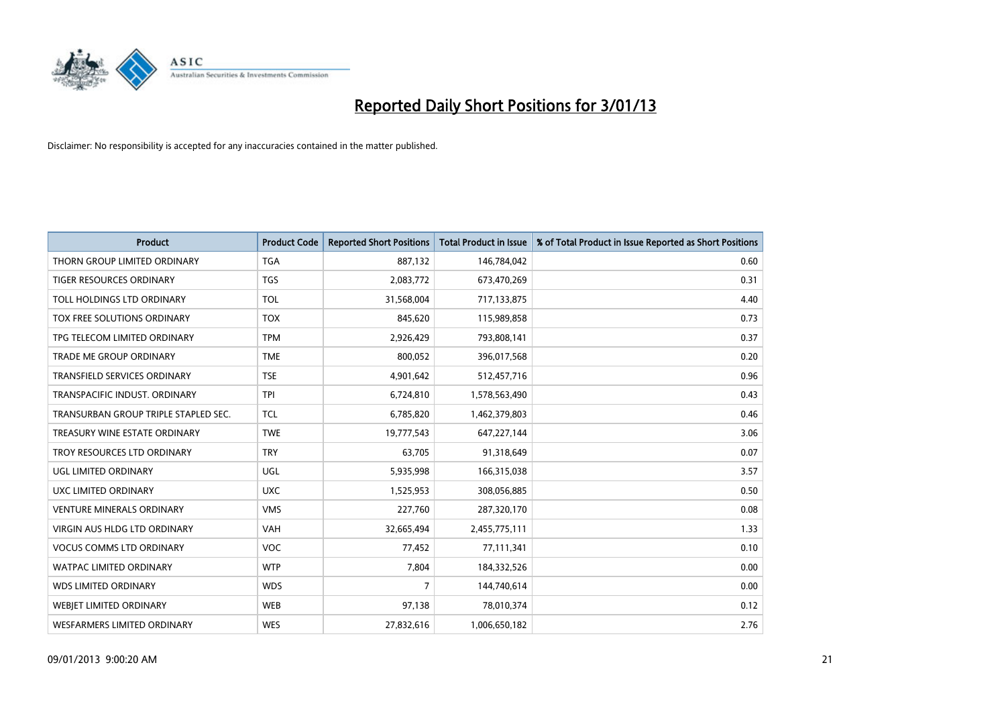

| <b>Product</b>                       | <b>Product Code</b> | <b>Reported Short Positions</b> | <b>Total Product in Issue</b> | % of Total Product in Issue Reported as Short Positions |
|--------------------------------------|---------------------|---------------------------------|-------------------------------|---------------------------------------------------------|
| THORN GROUP LIMITED ORDINARY         | <b>TGA</b>          | 887,132                         | 146,784,042                   | 0.60                                                    |
| TIGER RESOURCES ORDINARY             | <b>TGS</b>          | 2,083,772                       | 673,470,269                   | 0.31                                                    |
| TOLL HOLDINGS LTD ORDINARY           | <b>TOL</b>          | 31,568,004                      | 717,133,875                   | 4.40                                                    |
| TOX FREE SOLUTIONS ORDINARY          | <b>TOX</b>          | 845,620                         | 115,989,858                   | 0.73                                                    |
| TPG TELECOM LIMITED ORDINARY         | <b>TPM</b>          | 2,926,429                       | 793,808,141                   | 0.37                                                    |
| <b>TRADE ME GROUP ORDINARY</b>       | <b>TME</b>          | 800,052                         | 396,017,568                   | 0.20                                                    |
| <b>TRANSFIELD SERVICES ORDINARY</b>  | <b>TSE</b>          | 4,901,642                       | 512,457,716                   | 0.96                                                    |
| TRANSPACIFIC INDUST. ORDINARY        | <b>TPI</b>          | 6,724,810                       | 1,578,563,490                 | 0.43                                                    |
| TRANSURBAN GROUP TRIPLE STAPLED SEC. | <b>TCL</b>          | 6,785,820                       | 1,462,379,803                 | 0.46                                                    |
| TREASURY WINE ESTATE ORDINARY        | <b>TWE</b>          | 19,777,543                      | 647,227,144                   | 3.06                                                    |
| TROY RESOURCES LTD ORDINARY          | <b>TRY</b>          | 63,705                          | 91,318,649                    | 0.07                                                    |
| UGL LIMITED ORDINARY                 | UGL                 | 5,935,998                       | 166,315,038                   | 3.57                                                    |
| UXC LIMITED ORDINARY                 | <b>UXC</b>          | 1,525,953                       | 308,056,885                   | 0.50                                                    |
| <b>VENTURE MINERALS ORDINARY</b>     | <b>VMS</b>          | 227,760                         | 287,320,170                   | 0.08                                                    |
| <b>VIRGIN AUS HLDG LTD ORDINARY</b>  | <b>VAH</b>          | 32,665,494                      | 2,455,775,111                 | 1.33                                                    |
| <b>VOCUS COMMS LTD ORDINARY</b>      | <b>VOC</b>          | 77,452                          | 77,111,341                    | 0.10                                                    |
| WATPAC LIMITED ORDINARY              | <b>WTP</b>          | 7,804                           | 184,332,526                   | 0.00                                                    |
| <b>WDS LIMITED ORDINARY</b>          | <b>WDS</b>          | 7                               | 144,740,614                   | 0.00                                                    |
| <b>WEBJET LIMITED ORDINARY</b>       | <b>WEB</b>          | 97,138                          | 78,010,374                    | 0.12                                                    |
| WESFARMERS LIMITED ORDINARY          | <b>WES</b>          | 27,832,616                      | 1,006,650,182                 | 2.76                                                    |